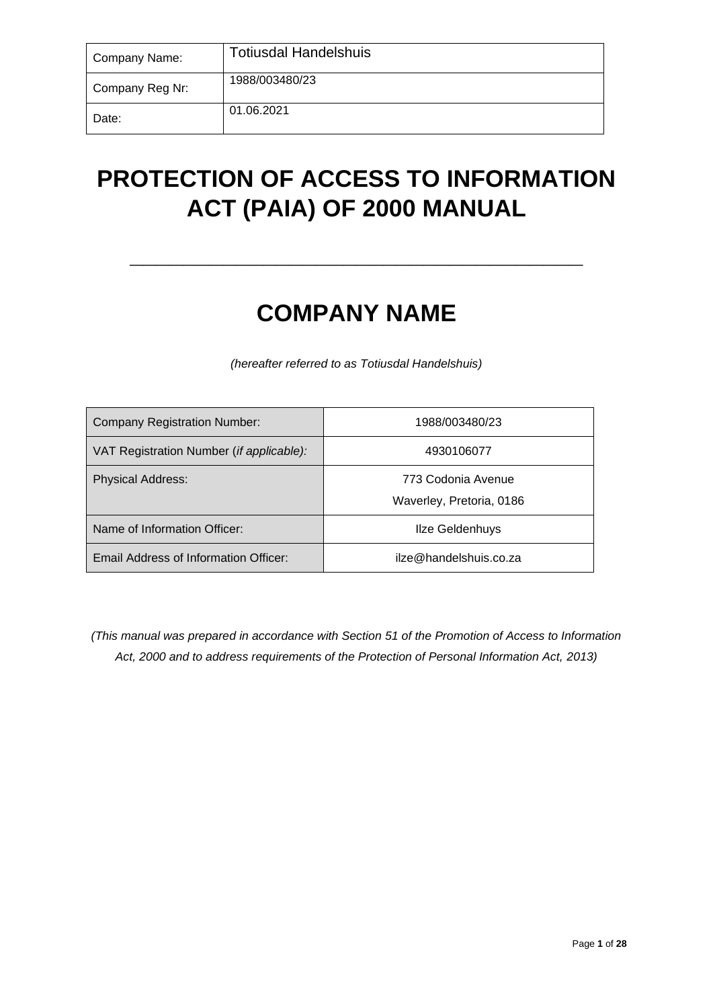| Company Name:   | <b>Totiusdal Handelshuis</b> |
|-----------------|------------------------------|
| Company Reg Nr: | 1988/003480/23               |
| Date:           | 01.06.2021                   |

# **PROTECTION OF ACCESS TO INFORMATION ACT (PAIA) OF 2000 MANUAL**

**\_\_\_\_\_\_\_\_\_\_\_\_\_\_\_\_\_\_\_\_\_\_\_\_\_\_\_\_\_\_\_\_\_\_**

# **COMPANY NAME**

*(hereafter referred to as Totiusdal Handelshuis)*

| <b>Company Registration Number:</b>               | 1988/003480/23                                 |
|---------------------------------------------------|------------------------------------------------|
| VAT Registration Number ( <i>if applicable</i> ): | 4930106077                                     |
| <b>Physical Address:</b>                          | 773 Codonia Avenue<br>Waverley, Pretoria, 0186 |
| Name of Information Officer:                      | Ilze Geldenhuys                                |
| Email Address of Information Officer:             | ilze@handelshuis.co.za                         |

*(This manual was prepared in accordance with Section 51 of the Promotion of Access to Information Act, 2000 and to address requirements of the Protection of Personal Information Act, 2013)*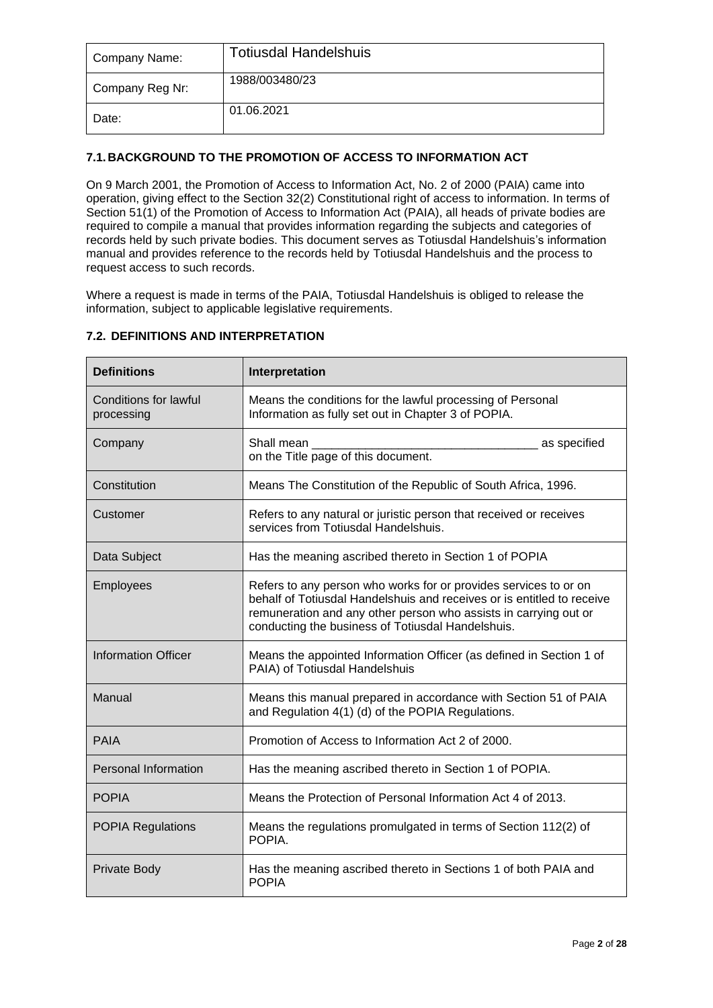| Company Name:   | <b>Totiusdal Handelshuis</b> |
|-----------------|------------------------------|
| Company Reg Nr: | 1988/003480/23               |
| Date:           | 01.06.2021                   |

# **7.1. BACKGROUND TO THE PROMOTION OF ACCESS TO INFORMATION ACT**

On 9 March 2001, the Promotion of Access to Information Act, No. 2 of 2000 (PAIA) came into operation, giving effect to the Section 32(2) Constitutional right of access to information. In terms of Section 51(1) of the Promotion of Access to Information Act (PAIA), all heads of private bodies are required to compile a manual that provides information regarding the subjects and categories of records held by such private bodies. This document serves as Totiusdal Handelshuis's information manual and provides reference to the records held by Totiusdal Handelshuis and the process to request access to such records.

Where a request is made in terms of the PAIA, Totiusdal Handelshuis is obliged to release the information, subject to applicable legislative requirements.

| <b>Definitions</b>                  | Interpretation                                                                                                                                                                                                                                                      |
|-------------------------------------|---------------------------------------------------------------------------------------------------------------------------------------------------------------------------------------------------------------------------------------------------------------------|
| Conditions for lawful<br>processing | Means the conditions for the lawful processing of Personal<br>Information as fully set out in Chapter 3 of POPIA.                                                                                                                                                   |
| Company                             | Shall mean<br>as specified<br>on the Title page of this document.                                                                                                                                                                                                   |
| Constitution                        | Means The Constitution of the Republic of South Africa, 1996.                                                                                                                                                                                                       |
| Customer                            | Refers to any natural or juristic person that received or receives<br>services from Totiusdal Handelshuis.                                                                                                                                                          |
| Data Subject                        | Has the meaning ascribed thereto in Section 1 of POPIA                                                                                                                                                                                                              |
| Employees                           | Refers to any person who works for or provides services to or on<br>behalf of Totiusdal Handelshuis and receives or is entitled to receive<br>remuneration and any other person who assists in carrying out or<br>conducting the business of Totiusdal Handelshuis. |
| <b>Information Officer</b>          | Means the appointed Information Officer (as defined in Section 1 of<br>PAIA) of Totiusdal Handelshuis                                                                                                                                                               |
| Manual                              | Means this manual prepared in accordance with Section 51 of PAIA<br>and Regulation 4(1) (d) of the POPIA Regulations.                                                                                                                                               |
| <b>PAIA</b>                         | Promotion of Access to Information Act 2 of 2000.                                                                                                                                                                                                                   |
| <b>Personal Information</b>         | Has the meaning ascribed thereto in Section 1 of POPIA.                                                                                                                                                                                                             |
| <b>POPIA</b>                        | Means the Protection of Personal Information Act 4 of 2013.                                                                                                                                                                                                         |
| <b>POPIA Regulations</b>            | Means the regulations promulgated in terms of Section 112(2) of<br>POPIA.                                                                                                                                                                                           |
| Private Body                        | Has the meaning ascribed thereto in Sections 1 of both PAIA and<br><b>POPIA</b>                                                                                                                                                                                     |

# **7.2. DEFINITIONS AND INTERPRETATION**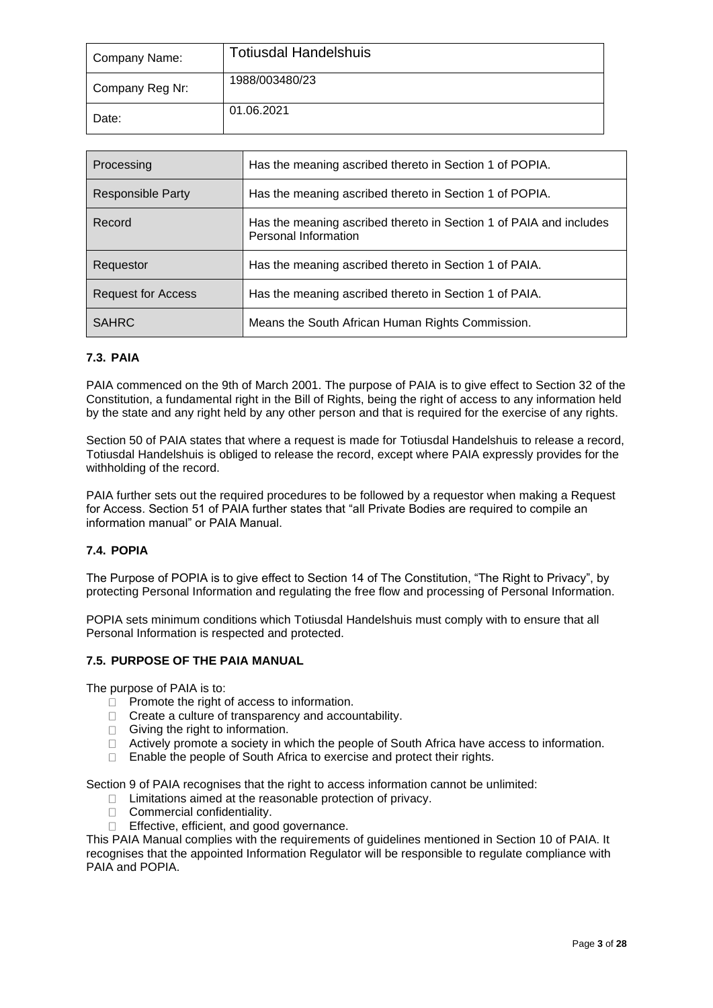| Company Name:   | <b>Totiusdal Handelshuis</b> |
|-----------------|------------------------------|
| Company Reg Nr: | 1988/003480/23               |
| Date:           | 01.06.2021                   |

| Processing                | Has the meaning ascribed thereto in Section 1 of POPIA.                                    |
|---------------------------|--------------------------------------------------------------------------------------------|
| <b>Responsible Party</b>  | Has the meaning ascribed thereto in Section 1 of POPIA.                                    |
| Record                    | Has the meaning ascribed thereto in Section 1 of PAIA and includes<br>Personal Information |
| Requestor                 | Has the meaning ascribed thereto in Section 1 of PAIA.                                     |
| <b>Request for Access</b> | Has the meaning ascribed thereto in Section 1 of PAIA.                                     |
| <b>SAHRC</b>              | Means the South African Human Rights Commission.                                           |

# **7.3. PAIA**

PAIA commenced on the 9th of March 2001. The purpose of PAIA is to give effect to Section 32 of the Constitution, a fundamental right in the Bill of Rights, being the right of access to any information held by the state and any right held by any other person and that is required for the exercise of any rights.

Section 50 of PAIA states that where a request is made for Totiusdal Handelshuis to release a record, Totiusdal Handelshuis is obliged to release the record, except where PAIA expressly provides for the withholding of the record.

PAIA further sets out the required procedures to be followed by a requestor when making a Request for Access. Section 51 of PAIA further states that "all Private Bodies are required to compile an information manual" or PAIA Manual.

# **7.4. POPIA**

The Purpose of POPIA is to give effect to Section 14 of The Constitution, "The Right to Privacy", by protecting Personal Information and regulating the free flow and processing of Personal Information.

POPIA sets minimum conditions which Totiusdal Handelshuis must comply with to ensure that all Personal Information is respected and protected.

# **7.5. PURPOSE OF THE PAIA MANUAL**

The purpose of PAIA is to:

- $\Box$  Promote the right of access to information.
- $\Box$  Create a culture of transparency and accountability.
- $\Box$  Giving the right to information.
- $\Box$  Actively promote a society in which the people of South Africa have access to information.
- $\Box$ Enable the people of South Africa to exercise and protect their rights.

Section 9 of PAIA recognises that the right to access information cannot be unlimited:

- $\Box$  Limitations aimed at the reasonable protection of privacy.
- □ Commercial confidentiality.
- □ Effective, efficient, and good governance.

This PAIA Manual complies with the requirements of guidelines mentioned in Section 10 of PAIA. It recognises that the appointed Information Regulator will be responsible to regulate compliance with PAIA and POPIA.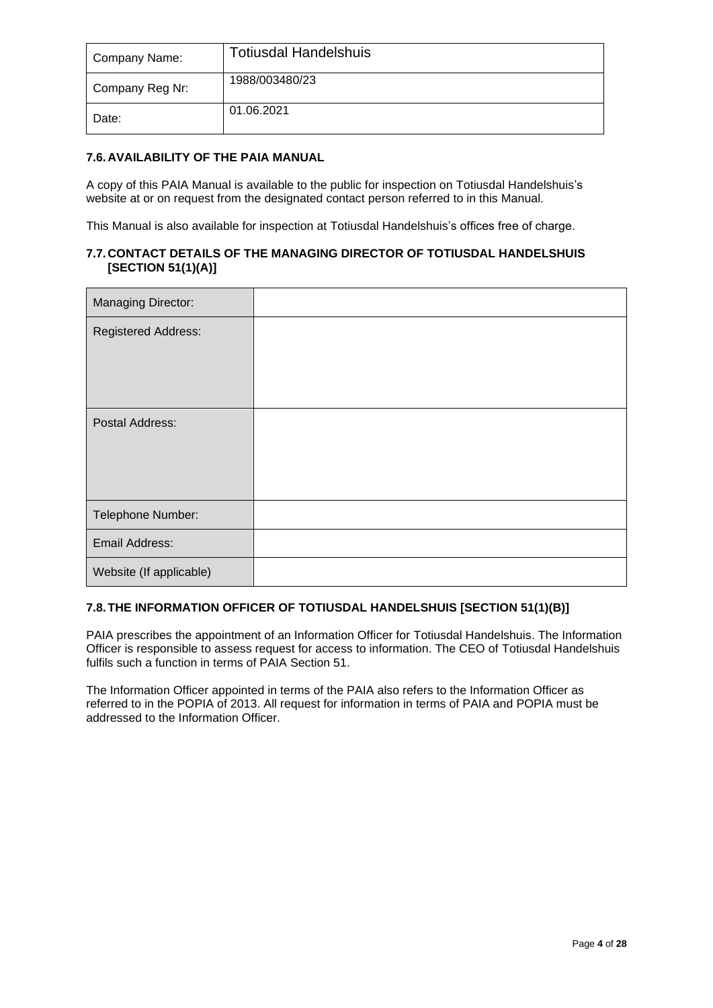| Company Name:   | <b>Totiusdal Handelshuis</b> |
|-----------------|------------------------------|
| Company Reg Nr: | 1988/003480/23               |
| Date:           | 01.06.2021                   |

# **7.6. AVAILABILITY OF THE PAIA MANUAL**

A copy of this PAIA Manual is available to the public for inspection on Totiusdal Handelshuis's website at or on request from the designated contact person referred to in this Manual.

This Manual is also available for inspection at Totiusdal Handelshuis's offices free of charge.

# **7.7. CONTACT DETAILS OF THE MANAGING DIRECTOR OF TOTIUSDAL HANDELSHUIS [SECTION 51(1)(A)]**

| Managing Director:         |  |
|----------------------------|--|
| <b>Registered Address:</b> |  |
|                            |  |
|                            |  |
| Postal Address:            |  |
|                            |  |
|                            |  |
| Telephone Number:          |  |
| Email Address:             |  |
| Website (If applicable)    |  |

# **7.8.THE INFORMATION OFFICER OF TOTIUSDAL HANDELSHUIS [SECTION 51(1)(B)]**

PAIA prescribes the appointment of an Information Officer for Totiusdal Handelshuis. The Information Officer is responsible to assess request for access to information. The CEO of Totiusdal Handelshuis fulfils such a function in terms of PAIA Section 51.

The Information Officer appointed in terms of the PAIA also refers to the Information Officer as referred to in the POPIA of 2013. All request for information in terms of PAIA and POPIA must be addressed to the Information Officer.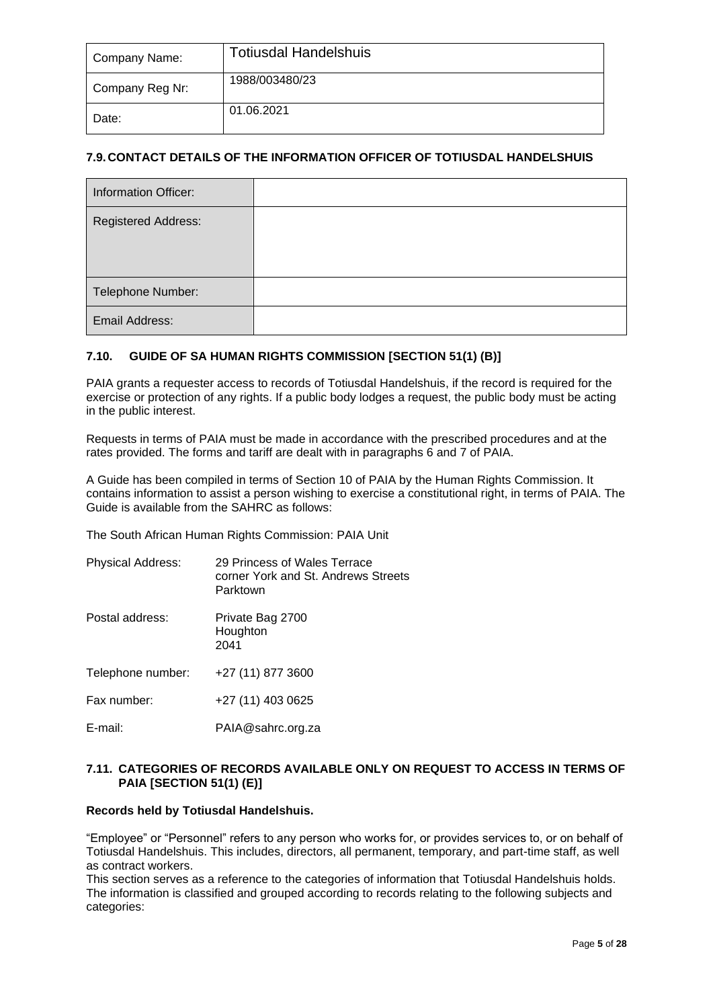| Company Name:   | <b>Totiusdal Handelshuis</b> |
|-----------------|------------------------------|
| Company Reg Nr: | 1988/003480/23               |
| Date:           | 01.06.2021                   |

# **7.9. CONTACT DETAILS OF THE INFORMATION OFFICER OF TOTIUSDAL HANDELSHUIS**

| <b>Information Officer:</b> |  |
|-----------------------------|--|
| <b>Registered Address:</b>  |  |
| Telephone Number:           |  |
| Email Address:              |  |

# **7.10. GUIDE OF SA HUMAN RIGHTS COMMISSION [SECTION 51(1) (B)]**

PAIA grants a requester access to records of Totiusdal Handelshuis, if the record is required for the exercise or protection of any rights. If a public body lodges a request, the public body must be acting in the public interest.

Requests in terms of PAIA must be made in accordance with the prescribed procedures and at the rates provided. The forms and tariff are dealt with in paragraphs 6 and 7 of PAIA.

A Guide has been compiled in terms of Section 10 of PAIA by the Human Rights Commission. It contains information to assist a person wishing to exercise a constitutional right, in terms of PAIA. The Guide is available from the SAHRC as follows:

The South African Human Rights Commission: PAIA Unit

| <b>Physical Address:</b> | 29 Princess of Wales Terrace<br>corner York and St. Andrews Streets<br>Parktown |
|--------------------------|---------------------------------------------------------------------------------|
| Postal address:          | Private Bag 2700<br>Houghton<br>2041                                            |
| Telephone number:        | +27 (11) 877 3600                                                               |
| Fax number:              | +27 (11) 403 0625                                                               |
| E-mail:                  | PAIA@sahrc.org.za                                                               |

# **7.11. CATEGORIES OF RECORDS AVAILABLE ONLY ON REQUEST TO ACCESS IN TERMS OF PAIA [SECTION 51(1) (E)]**

# **Records held by Totiusdal Handelshuis.**

"Employee" or "Personnel" refers to any person who works for, or provides services to, or on behalf of Totiusdal Handelshuis. This includes, directors, all permanent, temporary, and part-time staff, as well as contract workers.

This section serves as a reference to the categories of information that Totiusdal Handelshuis holds. The information is classified and grouped according to records relating to the following subjects and categories: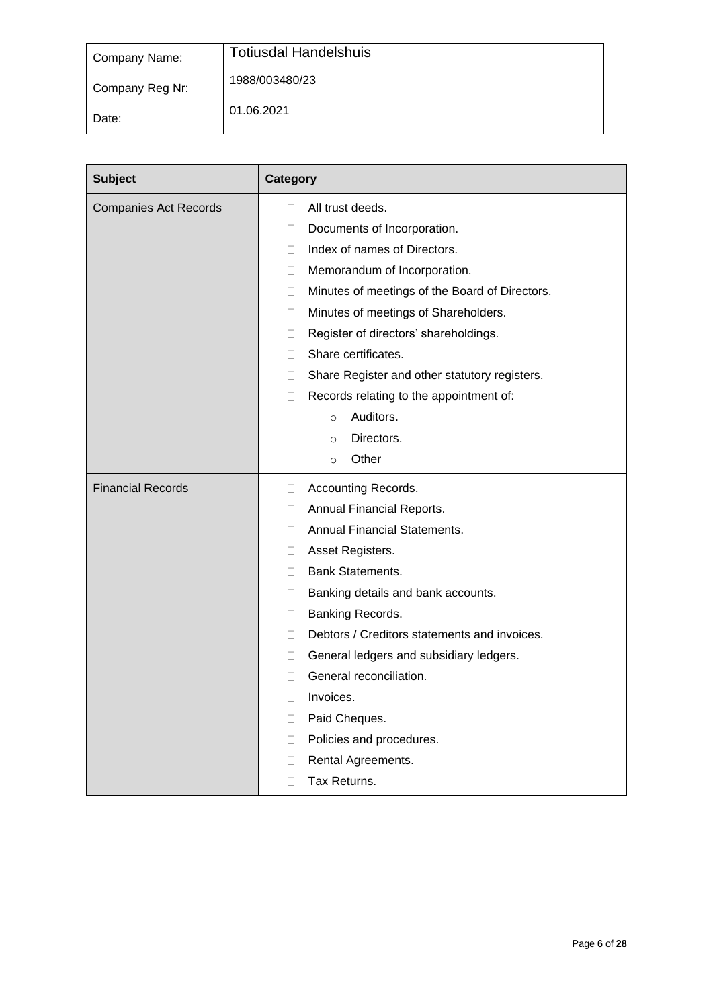| Company Name:   | <b>Totiusdal Handelshuis</b> |
|-----------------|------------------------------|
| Company Reg Nr: | 1988/003480/23               |
| Date:           | 01.06.2021                   |

| <b>Subject</b>               | Category                                                 |
|------------------------------|----------------------------------------------------------|
| <b>Companies Act Records</b> | All trust deeds.<br>П                                    |
|                              | Documents of Incorporation.<br>u                         |
|                              | Index of names of Directors.<br>П                        |
|                              | Memorandum of Incorporation.<br>$\Box$                   |
|                              | Minutes of meetings of the Board of Directors.<br>$\Box$ |
|                              | Minutes of meetings of Shareholders.<br>$\Box$           |
|                              | Register of directors' shareholdings.<br>$\Box$          |
|                              | Share certificates.<br>П                                 |
|                              | Share Register and other statutory registers.<br>П       |
|                              | Records relating to the appointment of:<br>$\Box$        |
|                              | Auditors.<br>$\circ$                                     |
|                              | Directors.<br>$\circ$                                    |
|                              | Other<br>$\circ$                                         |
| <b>Financial Records</b>     | Accounting Records.<br>□                                 |
|                              | Annual Financial Reports.<br>□                           |
|                              | Annual Financial Statements.<br>Ш                        |
|                              | Asset Registers.<br>□                                    |
|                              | Bank Statements.<br>П                                    |
|                              | Banking details and bank accounts.<br>□                  |
|                              | Banking Records.<br>□                                    |
|                              | Debtors / Creditors statements and invoices.<br>П        |
|                              | General ledgers and subsidiary ledgers.<br>□             |
|                              | General reconciliation.<br>П                             |
|                              | Invoices.<br>$\Box$                                      |
|                              | Paid Cheques.<br>□                                       |
|                              | Policies and procedures.<br>□                            |
|                              | Rental Agreements.<br>□                                  |
|                              | Tax Returns.<br>□                                        |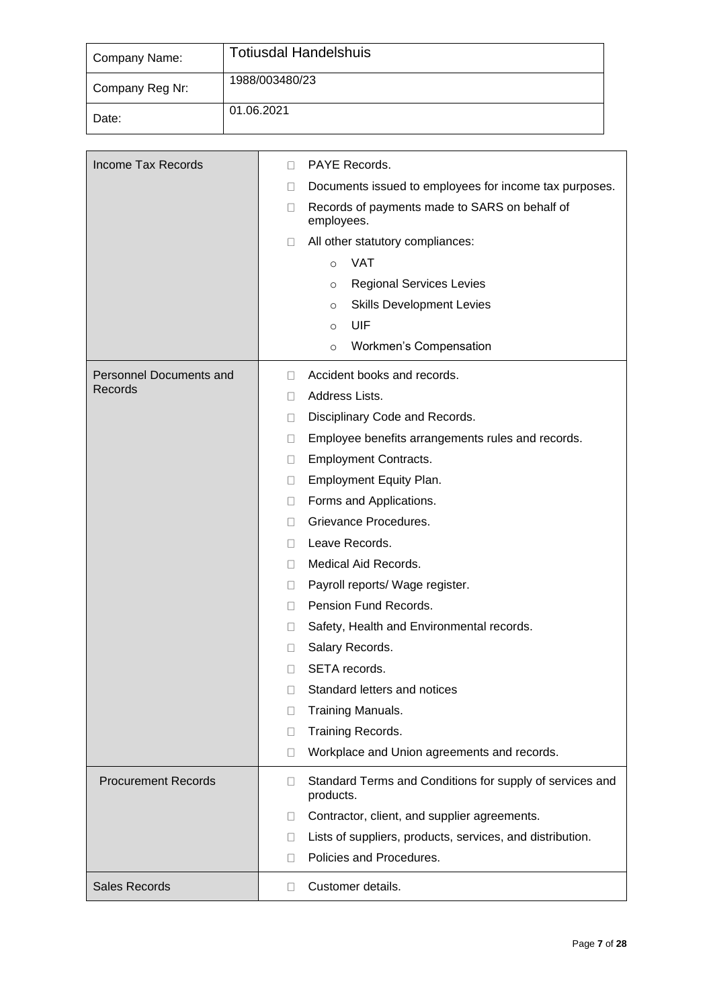| Company Name:   | <b>Totiusdal Handelshuis</b> |
|-----------------|------------------------------|
| Company Reg Nr: | 1988/003480/23               |
| Date:           | 01.06.2021                   |

| <b>Income Tax Records</b>  | PAYE Records.<br>П.                                                             |  |  |  |  |
|----------------------------|---------------------------------------------------------------------------------|--|--|--|--|
|                            | Documents issued to employees for income tax purposes.<br>$\Box$                |  |  |  |  |
|                            | Records of payments made to SARS on behalf of<br>$\Box$<br>employees.           |  |  |  |  |
|                            | All other statutory compliances:<br>0                                           |  |  |  |  |
|                            | <b>VAT</b><br>$\circ$                                                           |  |  |  |  |
|                            | <b>Regional Services Levies</b><br>$\circ$                                      |  |  |  |  |
|                            | <b>Skills Development Levies</b><br>$\circ$                                     |  |  |  |  |
|                            | UIF<br>$\circ$                                                                  |  |  |  |  |
|                            | Workmen's Compensation<br>$\circ$                                               |  |  |  |  |
| Personnel Documents and    | Accident books and records.<br>П.                                               |  |  |  |  |
| Records                    | Address Lists.<br>$\Box$                                                        |  |  |  |  |
|                            | Disciplinary Code and Records.<br>$\Box$                                        |  |  |  |  |
|                            | Employee benefits arrangements rules and records.<br>0                          |  |  |  |  |
|                            | <b>Employment Contracts.</b><br>0                                               |  |  |  |  |
|                            | Employment Equity Plan.<br>$\Box$                                               |  |  |  |  |
|                            | Forms and Applications.<br>0                                                    |  |  |  |  |
|                            | Grievance Procedures.<br>П                                                      |  |  |  |  |
|                            | Leave Records.<br>П.                                                            |  |  |  |  |
|                            | Medical Aid Records.<br>П.                                                      |  |  |  |  |
|                            | Payroll reports/ Wage register.<br>0                                            |  |  |  |  |
|                            | Pension Fund Records.<br>П.                                                     |  |  |  |  |
|                            | Safety, Health and Environmental records.<br>u                                  |  |  |  |  |
|                            | Salary Records.<br>Ш                                                            |  |  |  |  |
|                            | SETA records.<br>П                                                              |  |  |  |  |
|                            | $\Box$<br>Standard letters and notices                                          |  |  |  |  |
|                            | Training Manuals.<br>П                                                          |  |  |  |  |
|                            | Training Records.<br>□                                                          |  |  |  |  |
|                            | Workplace and Union agreements and records.<br>$\Box$                           |  |  |  |  |
| <b>Procurement Records</b> | Standard Terms and Conditions for supply of services and<br>$\Box$<br>products. |  |  |  |  |
|                            | Contractor, client, and supplier agreements.<br>п                               |  |  |  |  |
|                            | Lists of suppliers, products, services, and distribution.<br>$\Box$             |  |  |  |  |
|                            | Policies and Procedures.<br>П                                                   |  |  |  |  |
| Sales Records              | Customer details.<br>П.                                                         |  |  |  |  |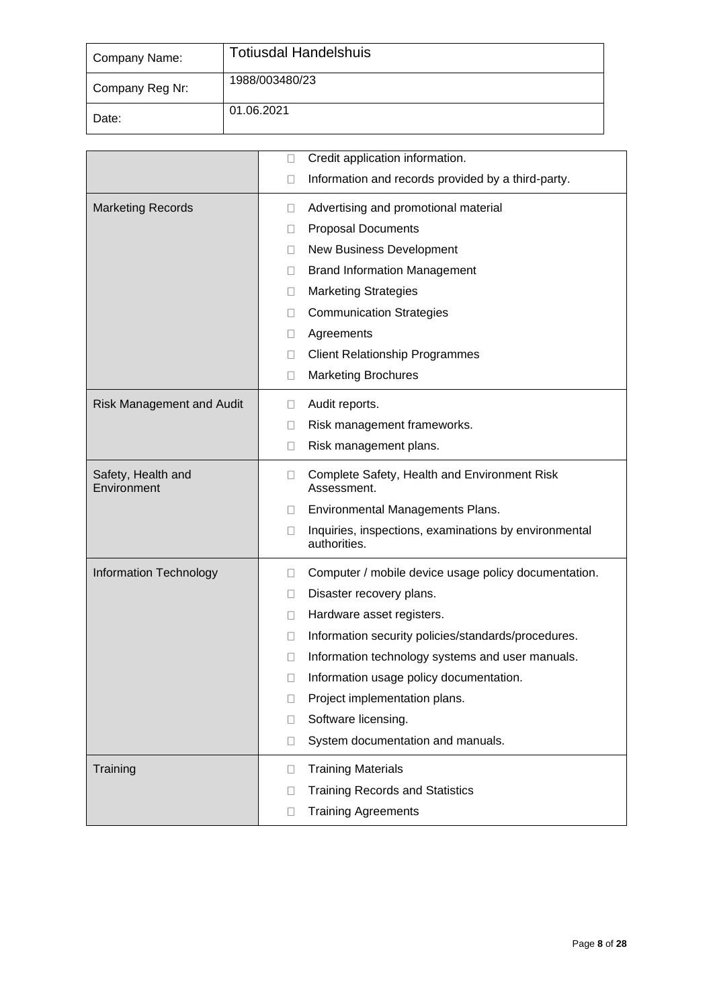| Company Name:   | <b>Totiusdal Handelshuis</b> |
|-----------------|------------------------------|
| Company Reg Nr: | 1988/003480/23               |
| Date:           | 01.06.2021                   |

|                                   | Credit application information.<br>0                                            |
|-----------------------------------|---------------------------------------------------------------------------------|
|                                   | Information and records provided by a third-party.<br>$\Box$                    |
| <b>Marketing Records</b>          | Advertising and promotional material<br>u                                       |
|                                   | <b>Proposal Documents</b><br>0                                                  |
|                                   | New Business Development<br>0                                                   |
|                                   | <b>Brand Information Management</b><br>$\mathbf{L}$                             |
|                                   | <b>Marketing Strategies</b><br>u                                                |
|                                   | <b>Communication Strategies</b><br>0                                            |
|                                   | Agreements<br>П                                                                 |
|                                   | <b>Client Relationship Programmes</b><br>0                                      |
|                                   | <b>Marketing Brochures</b><br>$\Box$                                            |
| <b>Risk Management and Audit</b>  | Audit reports.<br>0                                                             |
|                                   | Risk management frameworks.<br>П                                                |
|                                   | Risk management plans.<br>□                                                     |
| Safety, Health and<br>Environment | Complete Safety, Health and Environment Risk<br>□<br>Assessment.                |
|                                   | Environmental Managements Plans.<br>u                                           |
|                                   | $\Box$<br>Inquiries, inspections, examinations by environmental<br>authorities. |
| Information Technology            | Computer / mobile device usage policy documentation.<br>0                       |
|                                   | Disaster recovery plans.<br>u                                                   |
|                                   | Hardware asset registers.<br>П                                                  |
|                                   | Information security policies/standards/procedures.<br>□                        |
|                                   | Information technology systems and user manuals.<br>П                           |
|                                   | Information usage policy documentation.<br>$\Box$                               |
|                                   | Project implementation plans.<br>$\Box$                                         |
|                                   | Software licensing.<br>□                                                        |
|                                   | System documentation and manuals.<br>□                                          |
| Training                          | <b>Training Materials</b><br>□                                                  |
|                                   | <b>Training Records and Statistics</b><br>□                                     |
|                                   | <b>Training Agreements</b><br>$\Box$                                            |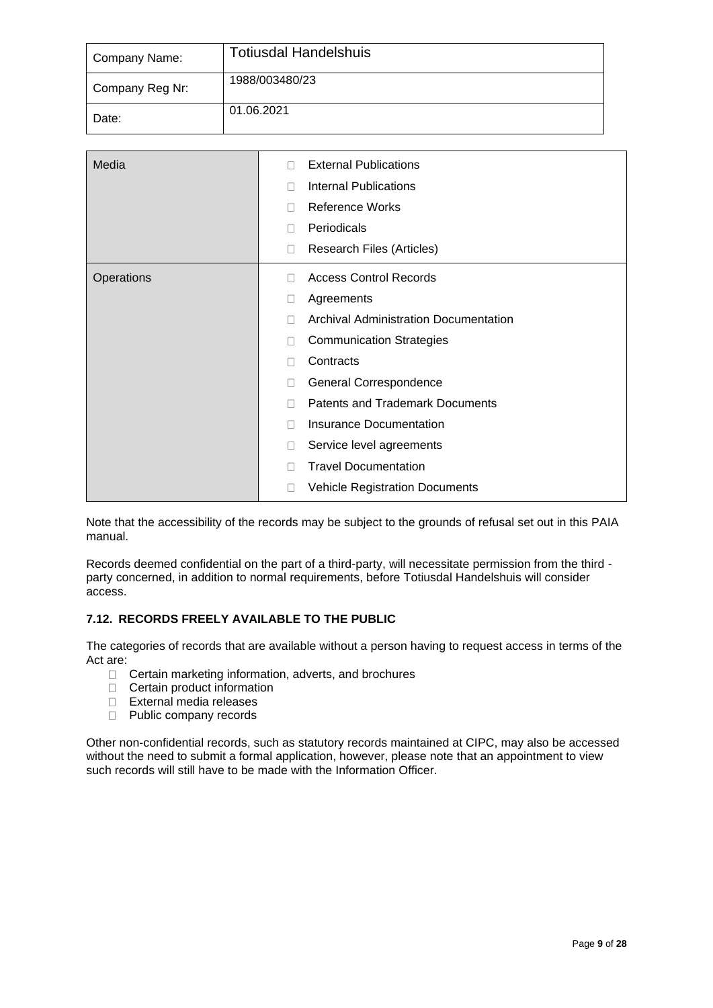| Company Name:   | <b>Totiusdal Handelshuis</b> |
|-----------------|------------------------------|
| Company Reg Nr: | 1988/003480/23               |
| Date:           | 01.06.2021                   |

| Media      | <b>External Publications</b><br>П                 |
|------------|---------------------------------------------------|
|            | <b>Internal Publications</b><br>П                 |
|            | <b>Reference Works</b><br>П                       |
|            | Periodicals<br>П                                  |
|            | Research Files (Articles)<br>$\Box$               |
| Operations | <b>Access Control Records</b><br>П                |
|            | Agreements<br>□                                   |
|            | <b>Archival Administration Documentation</b><br>П |
|            | <b>Communication Strategies</b><br>П              |
|            | Contracts<br>Ш                                    |
|            | General Correspondence<br>П                       |
|            | <b>Patents and Trademark Documents</b><br>П       |
|            | <b>Insurance Documentation</b><br>П               |
|            | Service level agreements<br>□                     |
|            | <b>Travel Documentation</b><br>П                  |
|            | <b>Vehicle Registration Documents</b><br>□        |

Note that the accessibility of the records may be subject to the grounds of refusal set out in this PAIA manual.

Records deemed confidential on the part of a third-party, will necessitate permission from the third party concerned, in addition to normal requirements, before Totiusdal Handelshuis will consider access.

# **7.12. RECORDS FREELY AVAILABLE TO THE PUBLIC**

The categories of records that are available without a person having to request access in terms of the Act are:

- □ Certain marketing information, adverts, and brochures
- □ Certain product information
- External media releases
- D Public company records

Other non-confidential records, such as statutory records maintained at CIPC, may also be accessed without the need to submit a formal application, however, please note that an appointment to view such records will still have to be made with the Information Officer.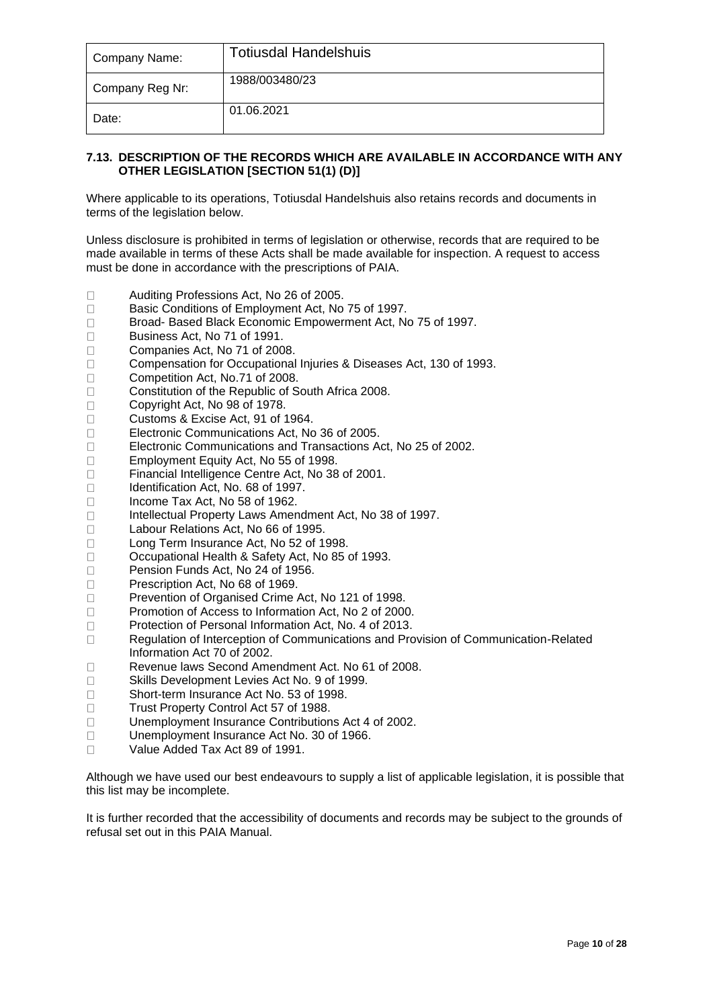| Company Name:   | <b>Totiusdal Handelshuis</b> |
|-----------------|------------------------------|
| Company Reg Nr: | 1988/003480/23               |
| Date:           | 01.06.2021                   |

# **7.13. DESCRIPTION OF THE RECORDS WHICH ARE AVAILABLE IN ACCORDANCE WITH ANY OTHER LEGISLATION [SECTION 51(1) (D)]**

Where applicable to its operations, Totiusdal Handelshuis also retains records and documents in terms of the legislation below.

Unless disclosure is prohibited in terms of legislation or otherwise, records that are required to be made available in terms of these Acts shall be made available for inspection. A request to access must be done in accordance with the prescriptions of PAIA.

- $\Box$ Auditing Professions Act, No 26 of 2005.
- $\Box$ Basic Conditions of Employment Act, No 75 of 1997.
- $\Box$ Broad- Based Black Economic Empowerment Act, No 75 of 1997.
- Business Act, No 71 of 1991.  $\Box$
- Companies Act, No 71 of 2008.  $\Box$
- Compensation for Occupational Injuries & Diseases Act, 130 of 1993.  $\Box$
- Competition Act, No.71 of 2008.  $\Box$
- $\Box$ Constitution of the Republic of South Africa 2008.
- $\Box$ Copyright Act, No 98 of 1978.
- Customs & Excise Act, 91 of 1964.  $\Box$
- Electronic Communications Act, No 36 of 2005.  $\Box$
- Electronic Communications and Transactions Act, No 25 of 2002.  $\Box$
- Employment Equity Act, No 55 of 1998.  $\Box$
- $\Box$ Financial Intelligence Centre Act, No 38 of 2001.
- $\Box$ Identification Act, No. 68 of 1997.
- $\Box$ Income Tax Act, No 58 of 1962.
- $\Box$ Intellectual Property Laws Amendment Act, No 38 of 1997.
- $\Box$ Labour Relations Act, No 66 of 1995.
- $\Box$ Long Term Insurance Act, No 52 of 1998.
- $\Box$ Occupational Health & Safety Act, No 85 of 1993.
- Pension Funds Act, No 24 of 1956.  $\Box$
- Prescription Act, No 68 of 1969.  $\Box$
- $\Box$ Prevention of Organised Crime Act, No 121 of 1998.
- $\Box$ Promotion of Access to Information Act, No 2 of 2000.
- $\Box$ Protection of Personal Information Act, No. 4 of 2013.
- $\Box$ Regulation of Interception of Communications and Provision of Communication-Related Information Act 70 of 2002.
- $\Box$ Revenue laws Second Amendment Act. No 61 of 2008.
- $\Box$ Skills Development Levies Act No. 9 of 1999.
- Short-term Insurance Act No. 53 of 1998.  $\Box$
- Trust Property Control Act 57 of 1988.  $\Box$
- Unemployment Insurance Contributions Act 4 of 2002.  $\Box$
- Unemployment Insurance Act No. 30 of 1966.  $\Box$
- Value Added Tax Act 89 of 1991.  $\Box$

Although we have used our best endeavours to supply a list of applicable legislation, it is possible that this list may be incomplete.

It is further recorded that the accessibility of documents and records may be subject to the grounds of refusal set out in this PAIA Manual.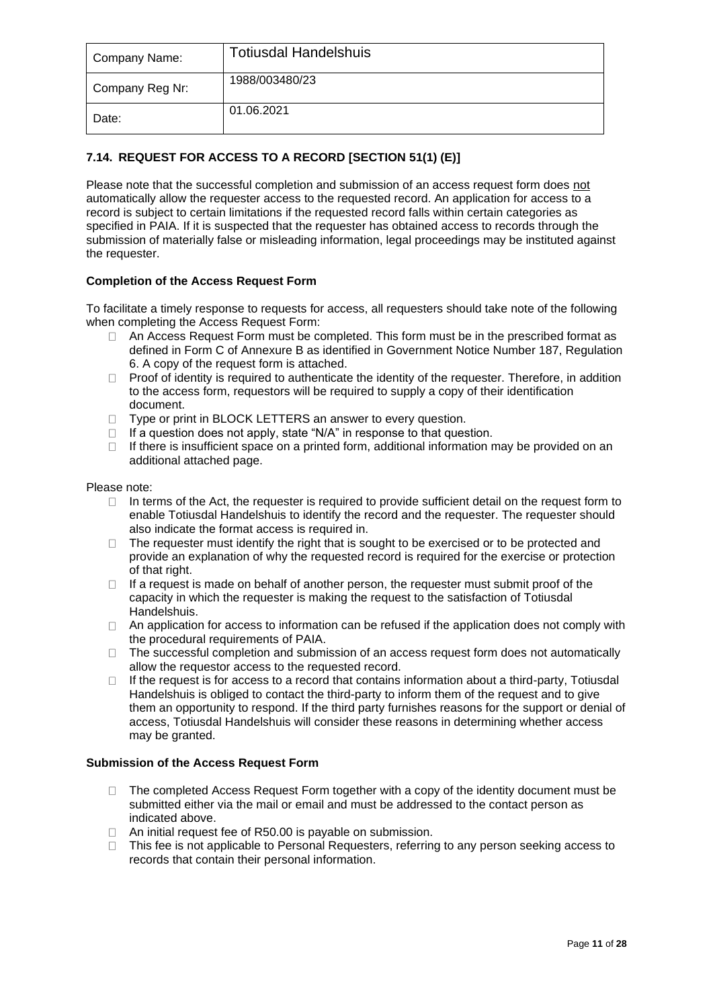| Company Name:   | <b>Totiusdal Handelshuis</b> |
|-----------------|------------------------------|
| Company Reg Nr: | 1988/003480/23               |
| Date:           | 01.06.2021                   |

# **7.14. REQUEST FOR ACCESS TO A RECORD [SECTION 51(1) (E)]**

Please note that the successful completion and submission of an access request form does not automatically allow the requester access to the requested record. An application for access to a record is subject to certain limitations if the requested record falls within certain categories as specified in PAIA. If it is suspected that the requester has obtained access to records through the submission of materially false or misleading information, legal proceedings may be instituted against the requester.

# **Completion of the Access Request Form**

To facilitate a timely response to requests for access, all requesters should take note of the following when completing the Access Request Form:

- $\Box$  An Access Request Form must be completed. This form must be in the prescribed format as defined in Form C of Annexure B as identified in Government Notice Number 187, Regulation 6. A copy of the request form is attached.
- Proof of identity is required to authenticate the identity of the requester. Therefore, in addition  $\Box$ to the access form, requestors will be required to supply a copy of their identification document.
- □ Type or print in BLOCK LETTERS an answer to every question.
- $\Box$  If a question does not apply, state "N/A" in response to that question.
- $\Box$  If there is insufficient space on a printed form, additional information may be provided on an additional attached page.

# Please note:

- $\Box$  In terms of the Act, the requester is required to provide sufficient detail on the request form to enable Totiusdal Handelshuis to identify the record and the requester. The requester should also indicate the format access is required in.
- $\Box$  The requester must identify the right that is sought to be exercised or to be protected and provide an explanation of why the requested record is required for the exercise or protection of that right.
- $\Box$  If a request is made on behalf of another person, the requester must submit proof of the capacity in which the requester is making the request to the satisfaction of Totiusdal **Handelshuis**
- $\Box$  An application for access to information can be refused if the application does not comply with the procedural requirements of PAIA.
- $\Box$  The successful completion and submission of an access request form does not automatically allow the requestor access to the requested record.
- $\Box$  If the request is for access to a record that contains information about a third-party, Totiusdal Handelshuis is obliged to contact the third-party to inform them of the request and to give them an opportunity to respond. If the third party furnishes reasons for the support or denial of access, Totiusdal Handelshuis will consider these reasons in determining whether access may be granted.

# **Submission of the Access Request Form**

- $\Box$  The completed Access Request Form together with a copy of the identity document must be submitted either via the mail or email and must be addressed to the contact person as indicated above.
- □ An initial request fee of R50.00 is payable on submission.
- □ This fee is not applicable to Personal Requesters, referring to any person seeking access to records that contain their personal information.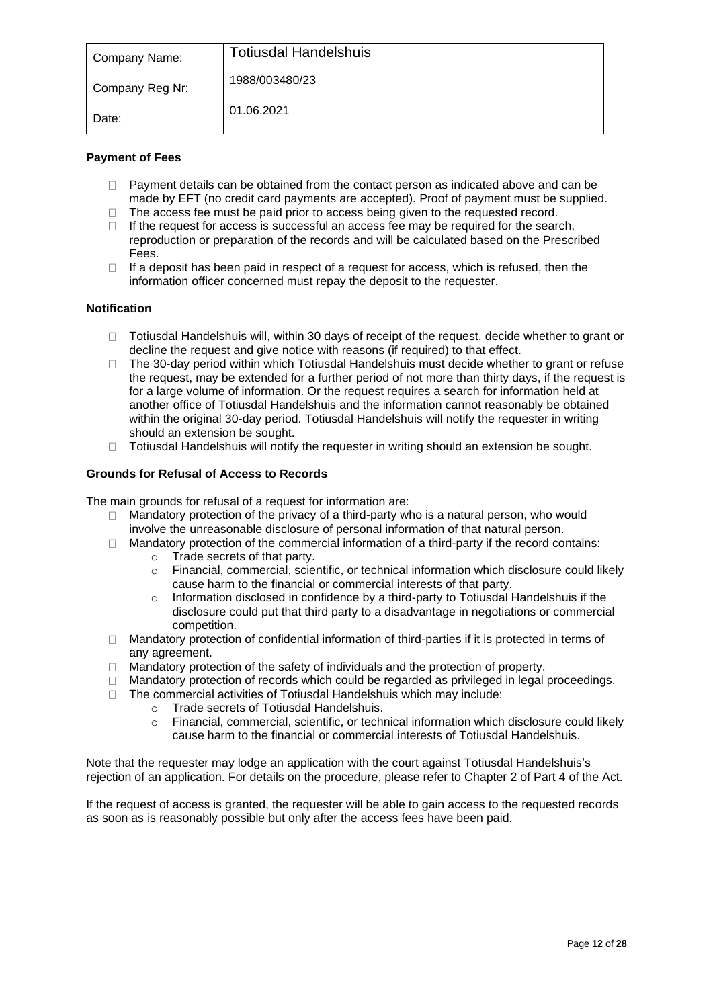| Company Name:   | <b>Totiusdal Handelshuis</b> |
|-----------------|------------------------------|
| Company Reg Nr: | 1988/003480/23               |
| Date:           | 01.06.2021                   |

# **Payment of Fees**

- Payment details can be obtained from the contact person as indicated above and can be  $\Box$ made by EFT (no credit card payments are accepted). Proof of payment must be supplied.
- The access fee must be paid prior to access being given to the requested record.
- $\Box$  If the request for access is successful an access fee may be required for the search, reproduction or preparation of the records and will be calculated based on the Prescribed Fees.
- If a deposit has been paid in respect of a request for access, which is refused, then the  $\Box$ information officer concerned must repay the deposit to the requester.

# **Notification**

- $\Box$  Totiusdal Handelshuis will, within 30 days of receipt of the request, decide whether to grant or decline the request and give notice with reasons (if required) to that effect.
- The 30-day period within which Totiusdal Handelshuis must decide whether to grant or refuse  $\Box$ the request, may be extended for a further period of not more than thirty days, if the request is for a large volume of information. Or the request requires a search for information held at another office of Totiusdal Handelshuis and the information cannot reasonably be obtained within the original 30-day period. Totiusdal Handelshuis will notify the requester in writing should an extension be sought.
- Totiusdal Handelshuis will notify the requester in writing should an extension be sought.

# **Grounds for Refusal of Access to Records**

The main grounds for refusal of a request for information are:

- Mandatory protection of the privacy of a third-party who is a natural person, who would  $\Box$ involve the unreasonable disclosure of personal information of that natural person.
- $\Box$  Mandatory protection of the commercial information of a third-party if the record contains:
	- o Trade secrets of that party.
		- o Financial, commercial, scientific, or technical information which disclosure could likely cause harm to the financial or commercial interests of that party.
		- $\circ$  Information disclosed in confidence by a third-party to Totiusdal Handelshuis if the disclosure could put that third party to a disadvantage in negotiations or commercial competition.
- $\Box$  Mandatory protection of confidential information of third-parties if it is protected in terms of any agreement.
- $\Box$  Mandatory protection of the safety of individuals and the protection of property.
- Mandatory protection of records which could be regarded as privileged in legal proceedings.
- $\Box$  The commercial activities of Totiusdal Handelshuis which may include:
	- o Trade secrets of Totiusdal Handelshuis.
	- o Financial, commercial, scientific, or technical information which disclosure could likely cause harm to the financial or commercial interests of Totiusdal Handelshuis.

Note that the requester may lodge an application with the court against Totiusdal Handelshuis's rejection of an application. For details on the procedure, please refer to Chapter 2 of Part 4 of the Act.

If the request of access is granted, the requester will be able to gain access to the requested records as soon as is reasonably possible but only after the access fees have been paid.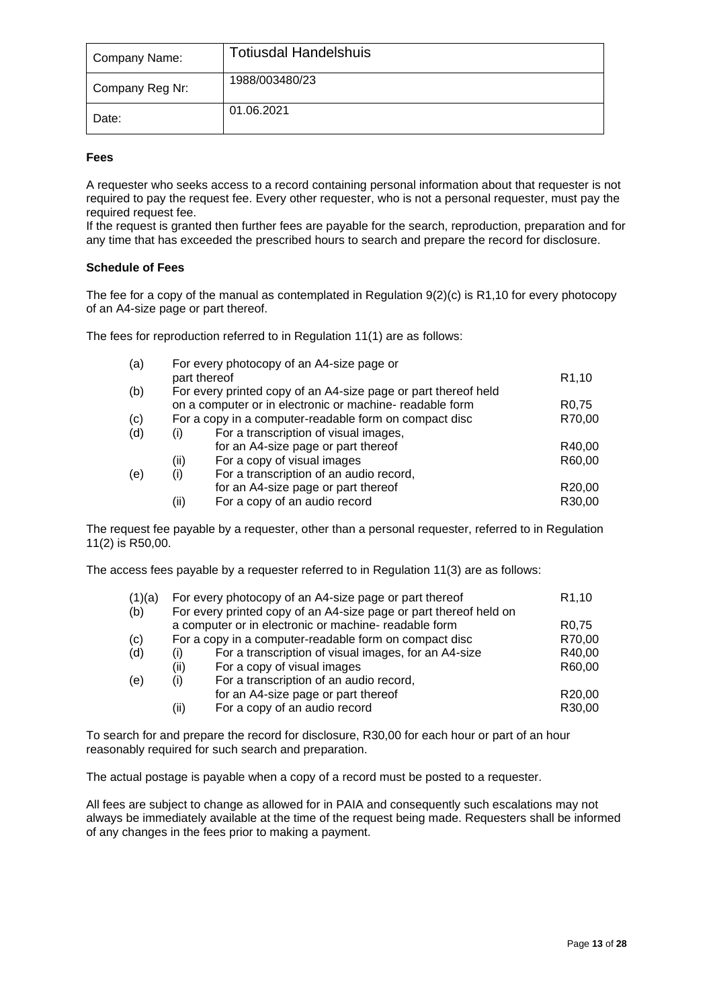| Company Name:   | <b>Totiusdal Handelshuis</b> |
|-----------------|------------------------------|
| Company Reg Nr: | 1988/003480/23               |
| Date:           | 01.06.2021                   |

# **Fees**

A requester who seeks access to a record containing personal information about that requester is not required to pay the request fee. Every other requester, who is not a personal requester, must pay the required request fee.

If the request is granted then further fees are payable for the search, reproduction, preparation and for any time that has exceeded the prescribed hours to search and prepare the record for disclosure.

# **Schedule of Fees**

The fee for a copy of the manual as contemplated in Regulation 9(2)(c) is R1,10 for every photocopy of an A4-size page or part thereof.

The fees for reproduction referred to in Regulation 11(1) are as follows:

| (a) |                                                          | For every photocopy of an A4-size page or                      |                    |  |
|-----|----------------------------------------------------------|----------------------------------------------------------------|--------------------|--|
|     |                                                          | part thereof                                                   | R <sub>1</sub> ,10 |  |
| (b) |                                                          | For every printed copy of an A4-size page or part thereof held |                    |  |
|     | on a computer or in electronic or machine- readable form |                                                                | R <sub>0.75</sub>  |  |
| (c) |                                                          | For a copy in a computer-readable form on compact disc         |                    |  |
| (d) | (i)                                                      | For a transcription of visual images,                          |                    |  |
|     |                                                          | for an A4-size page or part thereof                            | R40,00             |  |
|     | (ii)                                                     | For a copy of visual images                                    | R60,00             |  |
| (e) | (i)                                                      | For a transcription of an audio record,                        |                    |  |
|     |                                                          | for an A4-size page or part thereof                            | R20,00             |  |
|     | (ii)                                                     | For a copy of an audio record                                  | R30,00             |  |

The request fee payable by a requester, other than a personal requester, referred to in Regulation 11(2) is R50,00.

The access fees payable by a requester referred to in Regulation 11(3) are as follows:

| (1)(a)<br>(b) | For every photocopy of an A4-size page or part thereof<br>For every printed copy of an A4-size page or part thereof held on |                                                      |                     |  |  |  |  |  |  |  |
|---------------|-----------------------------------------------------------------------------------------------------------------------------|------------------------------------------------------|---------------------|--|--|--|--|--|--|--|
|               | a computer or in electronic or machine- readable form                                                                       |                                                      |                     |  |  |  |  |  |  |  |
| (c)           | For a copy in a computer-readable form on compact disc                                                                      | R70,00                                               |                     |  |  |  |  |  |  |  |
| (d)           | (i)                                                                                                                         | For a transcription of visual images, for an A4-size | R40,00              |  |  |  |  |  |  |  |
|               | (ii)                                                                                                                        | For a copy of visual images                          | R60,00              |  |  |  |  |  |  |  |
| (e)           | (i)                                                                                                                         | For a transcription of an audio record,              |                     |  |  |  |  |  |  |  |
|               |                                                                                                                             | for an A4-size page or part thereof                  | R <sub>20</sub> ,00 |  |  |  |  |  |  |  |
|               | (ii)                                                                                                                        | For a copy of an audio record                        | R30,00              |  |  |  |  |  |  |  |

To search for and prepare the record for disclosure, R30,00 for each hour or part of an hour reasonably required for such search and preparation.

The actual postage is payable when a copy of a record must be posted to a requester.

All fees are subject to change as allowed for in PAIA and consequently such escalations may not always be immediately available at the time of the request being made. Requesters shall be informed of any changes in the fees prior to making a payment.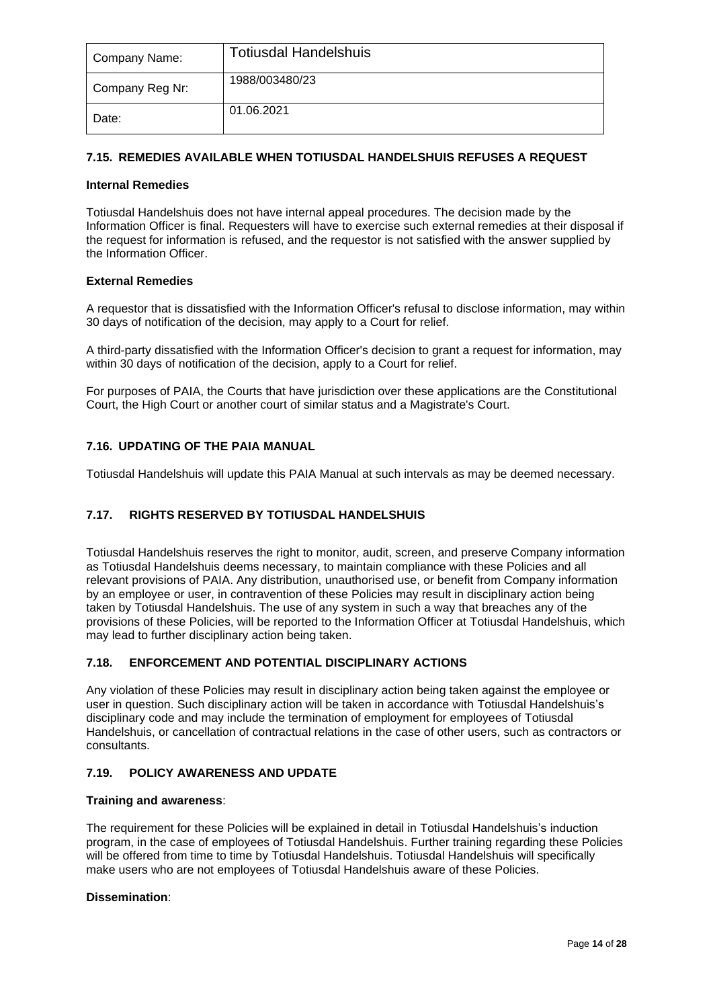| Company Name:   | <b>Totiusdal Handelshuis</b> |  |  |  |  |  |  |  |
|-----------------|------------------------------|--|--|--|--|--|--|--|
| Company Reg Nr: | 1988/003480/23               |  |  |  |  |  |  |  |
| Date:           | 01.06.2021                   |  |  |  |  |  |  |  |

# **7.15. REMEDIES AVAILABLE WHEN TOTIUSDAL HANDELSHUIS REFUSES A REQUEST**

# **Internal Remedies**

Totiusdal Handelshuis does not have internal appeal procedures. The decision made by the Information Officer is final. Requesters will have to exercise such external remedies at their disposal if the request for information is refused, and the requestor is not satisfied with the answer supplied by the Information Officer.

# **External Remedies**

A requestor that is dissatisfied with the Information Officer's refusal to disclose information, may within 30 days of notification of the decision, may apply to a Court for relief.

A third-party dissatisfied with the Information Officer's decision to grant a request for information, may within 30 days of notification of the decision, apply to a Court for relief.

For purposes of PAIA, the Courts that have jurisdiction over these applications are the Constitutional Court, the High Court or another court of similar status and a Magistrate's Court.

# **7.16. UPDATING OF THE PAIA MANUAL**

Totiusdal Handelshuis will update this PAIA Manual at such intervals as may be deemed necessary.

# **7.17. RIGHTS RESERVED BY TOTIUSDAL HANDELSHUIS**

Totiusdal Handelshuis reserves the right to monitor, audit, screen, and preserve Company information as Totiusdal Handelshuis deems necessary, to maintain compliance with these Policies and all relevant provisions of PAIA. Any distribution, unauthorised use, or benefit from Company information by an employee or user, in contravention of these Policies may result in disciplinary action being taken by Totiusdal Handelshuis. The use of any system in such a way that breaches any of the provisions of these Policies, will be reported to the Information Officer at Totiusdal Handelshuis, which may lead to further disciplinary action being taken.

# **7.18. ENFORCEMENT AND POTENTIAL DISCIPLINARY ACTIONS**

Any violation of these Policies may result in disciplinary action being taken against the employee or user in question. Such disciplinary action will be taken in accordance with Totiusdal Handelshuis's disciplinary code and may include the termination of employment for employees of Totiusdal Handelshuis, or cancellation of contractual relations in the case of other users, such as contractors or consultants.

# **7.19. POLICY AWARENESS AND UPDATE**

# **Training and awareness**:

The requirement for these Policies will be explained in detail in Totiusdal Handelshuis's induction program, in the case of employees of Totiusdal Handelshuis. Further training regarding these Policies will be offered from time to time by Totiusdal Handelshuis. Totiusdal Handelshuis will specifically make users who are not employees of Totiusdal Handelshuis aware of these Policies.

# **Dissemination**: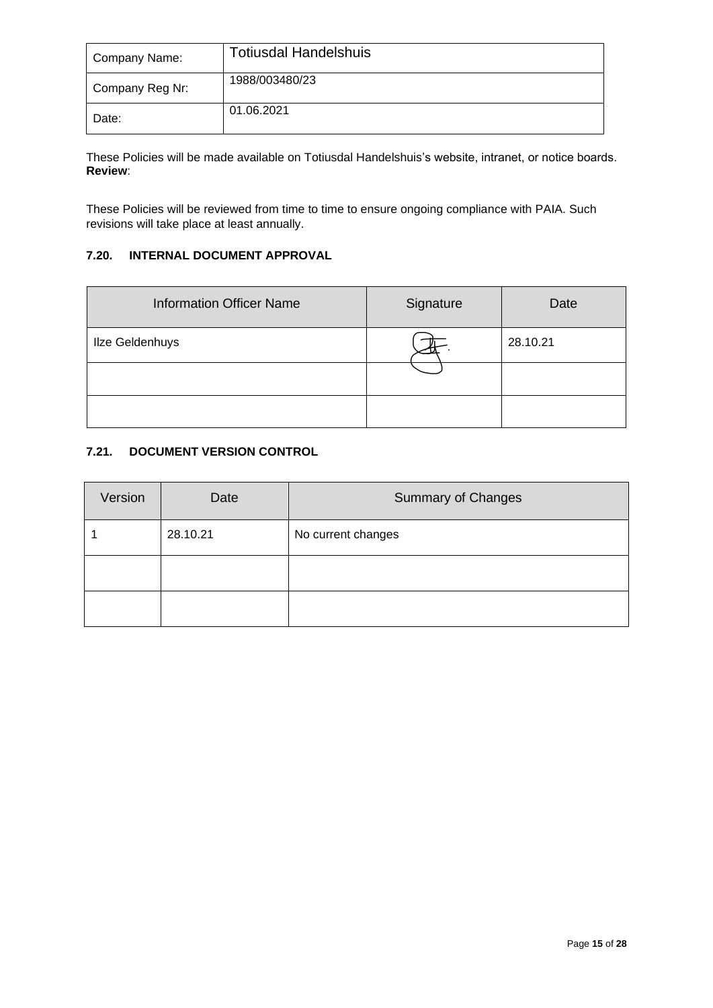| Company Name:   | <b>Totiusdal Handelshuis</b> |  |  |  |  |  |  |  |  |
|-----------------|------------------------------|--|--|--|--|--|--|--|--|
| Company Reg Nr: | 1988/003480/23               |  |  |  |  |  |  |  |  |
| Date:           | 01.06.2021                   |  |  |  |  |  |  |  |  |

These Policies will be made available on Totiusdal Handelshuis's website, intranet, or notice boards. **Review**:

These Policies will be reviewed from time to time to ensure ongoing compliance with PAIA. Such revisions will take place at least annually.

# **7.20. INTERNAL DOCUMENT APPROVAL**

| <b>Information Officer Name</b> | Signature | Date     |
|---------------------------------|-----------|----------|
| Ilze Geldenhuys                 |           | 28.10.21 |
|                                 |           |          |
|                                 |           |          |

# **7.21. DOCUMENT VERSION CONTROL**

| Version | Date     | <b>Summary of Changes</b> |
|---------|----------|---------------------------|
|         | 28.10.21 | No current changes        |
|         |          |                           |
|         |          |                           |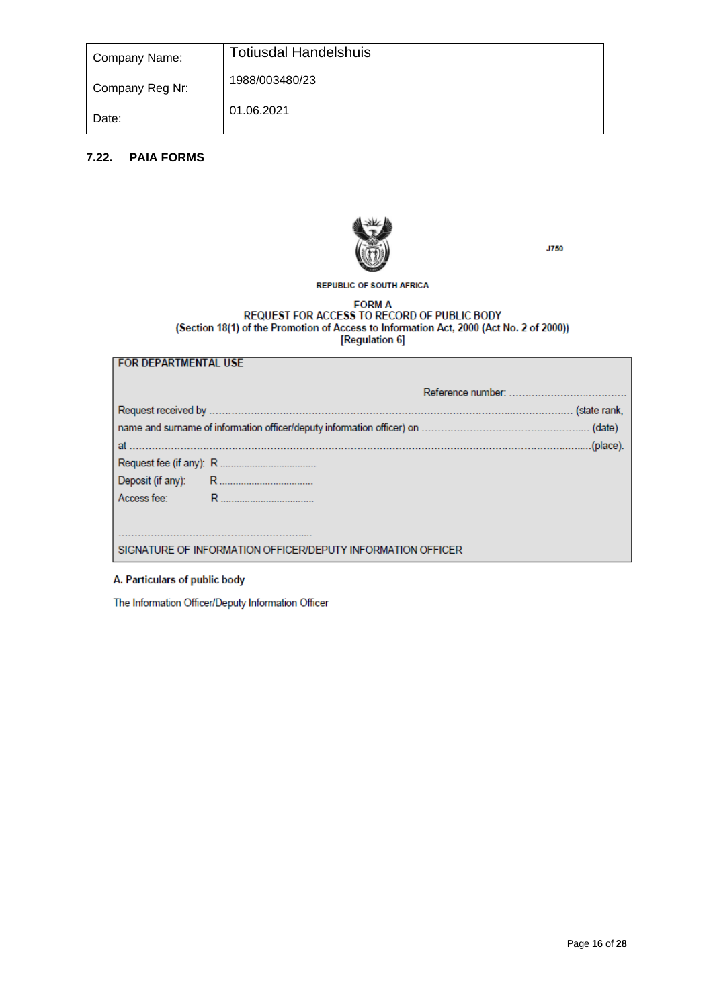| Company Name:   | <b>Totiusdal Handelshuis</b> |
|-----------------|------------------------------|
| Company Reg Nr: | 1988/003480/23               |
| Date:           | 01.06.2021                   |

# **7.22. PAIA FORMS**



**J750** 

# **REPUBLIC OF SOUTH AFRICA**

# FORM A<br>REQUEST FOR ACCESS TO RECORD OF PUBLIC BODY<br>(Section 18(1) of the Promotion of Access to Information Act, 2000 (Act No. 2 of 2000))<br>[Regulation 6]

| at …………………………………… |                                                             |  |
|-------------------|-------------------------------------------------------------|--|
|                   |                                                             |  |
|                   |                                                             |  |
|                   |                                                             |  |
|                   |                                                             |  |
|                   |                                                             |  |
|                   | SIGNATURE OF INFORMATION OFFICER/DEPUTY INFORMATION OFFICER |  |

# A. Particulars of public body

**FOR DEPARTMENTAL USE** 

The Information Officer/Deputy Information Officer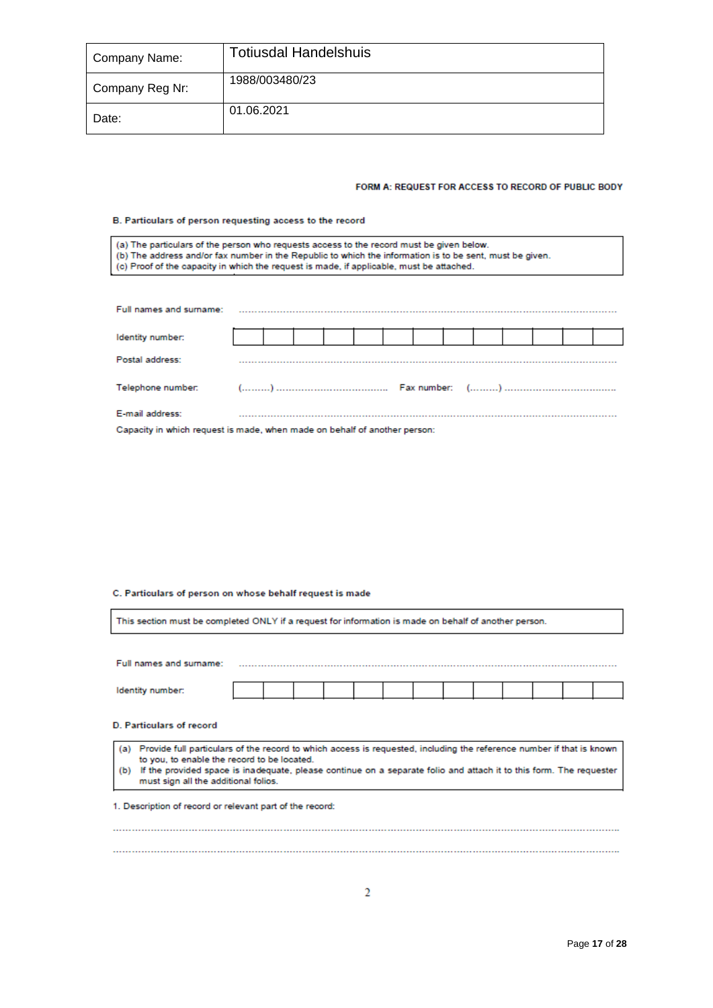| Company Name:   | <b>Totiusdal Handelshuis</b> |  |  |  |  |  |  |  |  |
|-----------------|------------------------------|--|--|--|--|--|--|--|--|
| Company Reg Nr: | 1988/003480/23               |  |  |  |  |  |  |  |  |
| Date:           | 01.06.2021                   |  |  |  |  |  |  |  |  |

### FORM A: REQUEST FOR ACCESS TO RECORD OF PUBLIC BODY

### B. Particulars of person requesting access to the record

| (a) The particulars of the person who requests access to the record must be given below.<br>(b) The address and/or fax number in the Republic to which the information is to be sent, must be given.<br>(c) Proof of the capacity in which the request is made, if applicable, must be attached. |  |  |  |  |  |  |  |  |  |  |  |  |  |
|--------------------------------------------------------------------------------------------------------------------------------------------------------------------------------------------------------------------------------------------------------------------------------------------------|--|--|--|--|--|--|--|--|--|--|--|--|--|
|                                                                                                                                                                                                                                                                                                  |  |  |  |  |  |  |  |  |  |  |  |  |  |
| Full names and surname:                                                                                                                                                                                                                                                                          |  |  |  |  |  |  |  |  |  |  |  |  |  |
| Identity number:                                                                                                                                                                                                                                                                                 |  |  |  |  |  |  |  |  |  |  |  |  |  |
| Postal address:                                                                                                                                                                                                                                                                                  |  |  |  |  |  |  |  |  |  |  |  |  |  |
| Telephone number:                                                                                                                                                                                                                                                                                |  |  |  |  |  |  |  |  |  |  |  |  |  |
| E-mail address:                                                                                                                                                                                                                                                                                  |  |  |  |  |  |  |  |  |  |  |  |  |  |

Capacity in which request is made, when made on behalf of another person:

# C. Particulars of person on whose behalf request is made

| This section must be completed ONLY if a request for information is made on behalf of another person.                                                                                                                                                                                                                                           |  |  |  |  |  |  |  |  |  |  |  |  |
|-------------------------------------------------------------------------------------------------------------------------------------------------------------------------------------------------------------------------------------------------------------------------------------------------------------------------------------------------|--|--|--|--|--|--|--|--|--|--|--|--|
|                                                                                                                                                                                                                                                                                                                                                 |  |  |  |  |  |  |  |  |  |  |  |  |
| Full names and surname:                                                                                                                                                                                                                                                                                                                         |  |  |  |  |  |  |  |  |  |  |  |  |
| Identity number:                                                                                                                                                                                                                                                                                                                                |  |  |  |  |  |  |  |  |  |  |  |  |
| <b>D. Particulars of record</b>                                                                                                                                                                                                                                                                                                                 |  |  |  |  |  |  |  |  |  |  |  |  |
| Provide full particulars of the record to which access is requested, including the reference number if that is known<br>(a)<br>to you, to enable the record to be located.<br>If the provided space is inadequate, please continue on a separate folio and attach it to this form. The requester<br>(b)<br>must sign all the additional folios. |  |  |  |  |  |  |  |  |  |  |  |  |
| 1. Description of record or relevant part of the record:                                                                                                                                                                                                                                                                                        |  |  |  |  |  |  |  |  |  |  |  |  |
|                                                                                                                                                                                                                                                                                                                                                 |  |  |  |  |  |  |  |  |  |  |  |  |
|                                                                                                                                                                                                                                                                                                                                                 |  |  |  |  |  |  |  |  |  |  |  |  |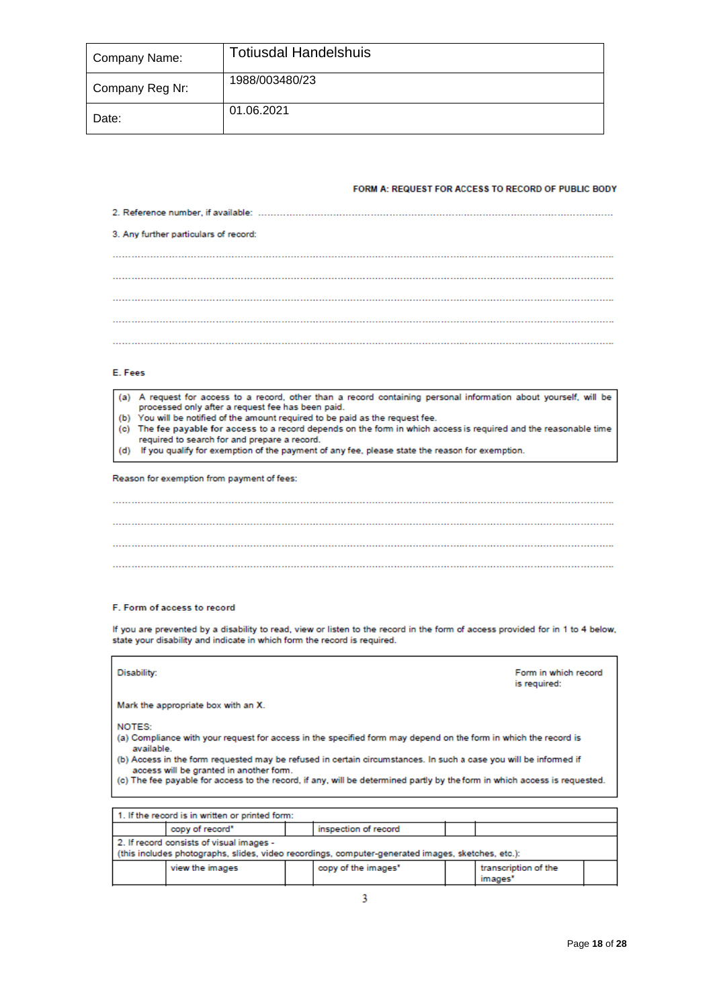| Company Name:   | <b>Totiusdal Handelshuis</b> |
|-----------------|------------------------------|
| Company Reg Nr: | 1988/003480/23               |
| Date:           | 01.06.2021                   |

### FORM A: REQUEST FOR ACCESS TO RECORD OF PUBLIC BODY

|  |  |  | 3. Any further particulars of record: |  |  |  |  |  |  |  |  |  |  |  |  |  |
|--|--|--|---------------------------------------|--|--|--|--|--|--|--|--|--|--|--|--|--|
|  |  |  |                                       |  |  |  |  |  |  |  |  |  |  |  |  |  |
|  |  |  |                                       |  |  |  |  |  |  |  |  |  |  |  |  |  |
|  |  |  |                                       |  |  |  |  |  |  |  |  |  |  |  |  |  |
|  |  |  |                                       |  |  |  |  |  |  |  |  |  |  |  |  |  |
|  |  |  |                                       |  |  |  |  |  |  |  |  |  |  |  |  |  |
|  |  |  |                                       |  |  |  |  |  |  |  |  |  |  |  |  |  |

### E. Fees

| (a) A request for access to a record, other than a record containing personal information about yourself, will be  |
|--------------------------------------------------------------------------------------------------------------------|
| processed only after a request fee has been paid.                                                                  |
| (b) You will be notified of the amount required to be paid as the request fee.                                     |
| (c) The fee payable for access to a record depends on the form in which access is required and the reasonable time |

- required to search for and prepare a record.
- (d) If you qualify for exemption of the payment of any fee, please state the reason for exemption.

Reason for exemption from payment of fees:

### F. Form of access to record

If you are prevented by a disability to read, view or listen to the record in the form of access provided for in 1 to 4 below, state your disability and indicate in which form the record is required.

| Disability:<br>Form in which record<br>is required: |                                                                                                                                                                                                                                                                                                                                                                                                             |  |  |  |  |  |  |  |
|-----------------------------------------------------|-------------------------------------------------------------------------------------------------------------------------------------------------------------------------------------------------------------------------------------------------------------------------------------------------------------------------------------------------------------------------------------------------------------|--|--|--|--|--|--|--|
| Mark the appropriate box with an X.                 |                                                                                                                                                                                                                                                                                                                                                                                                             |  |  |  |  |  |  |  |
| NOTES:<br>available.                                | (a) Compliance with your request for access in the specified form may depend on the form in which the record is<br>(b) Access in the form requested may be refused in certain circumstances. In such a case you will be informed if<br>access will be granted in another form.<br>(c) The fee payable for access to the record, if any, will be determined partly by the form in which access is requested. |  |  |  |  |  |  |  |
|                                                     |                                                                                                                                                                                                                                                                                                                                                                                                             |  |  |  |  |  |  |  |
| 1. If the record is in written or printed form:     |                                                                                                                                                                                                                                                                                                                                                                                                             |  |  |  |  |  |  |  |
| copy of record*                                     | inspection of record                                                                                                                                                                                                                                                                                                                                                                                        |  |  |  |  |  |  |  |

| 2. If record consists of visual images - |  |                                                                                                   |  |                      |  |  |  |  |
|------------------------------------------|--|---------------------------------------------------------------------------------------------------|--|----------------------|--|--|--|--|
|                                          |  | (this includes photographs, slides, video recordings, computer-generated images, sketches, etc.): |  |                      |  |  |  |  |
| view the images                          |  | copy of the images"                                                                               |  | transcription of the |  |  |  |  |
|                                          |  |                                                                                                   |  | images*              |  |  |  |  |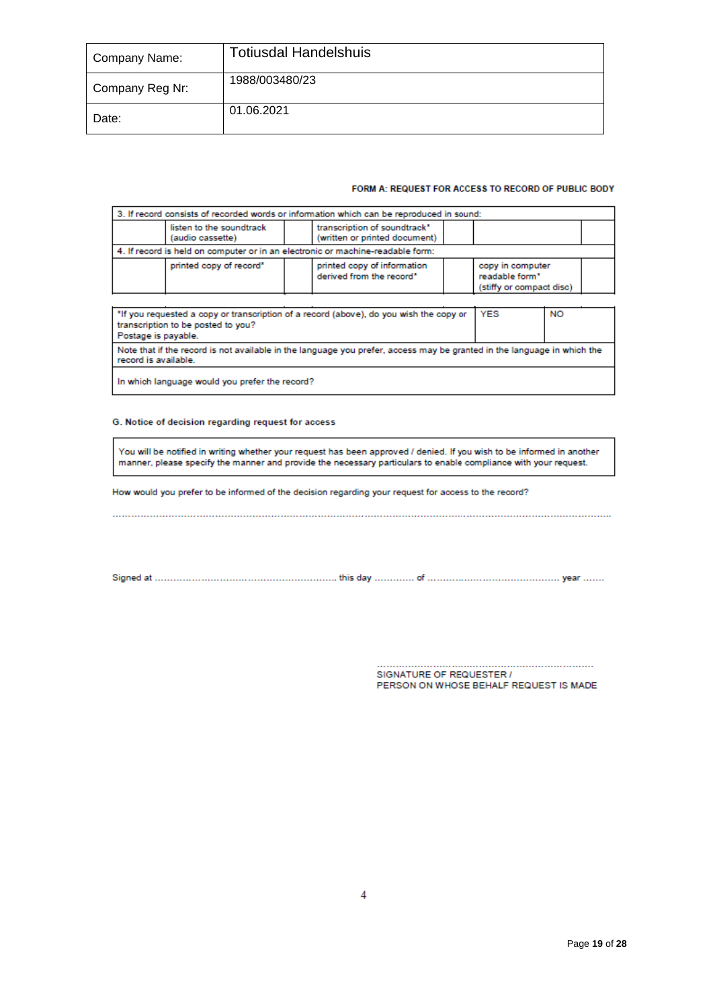| Company Name:   | <b>Totiusdal Handelshuis</b> |
|-----------------|------------------------------|
| Company Reg Nr: | 1988/003480/23               |
| Date:           | 01.06.2021                   |

### FORM A: REQUEST FOR ACCESS TO RECORD OF PUBLIC BODY

|                                                                                                                                                                                |                                              | 3. If record consists of recorded words or information which can be reproduced in sound: |                                    |                          |  |  |
|--------------------------------------------------------------------------------------------------------------------------------------------------------------------------------|----------------------------------------------|------------------------------------------------------------------------------------------|------------------------------------|--------------------------|--|--|
|                                                                                                                                                                                | listen to the soundtrack<br>(audio cassette) | transcription of soundtrack*<br>(written or printed document)                            |                                    |                          |  |  |
|                                                                                                                                                                                |                                              | 4. If record is held on computer or in an electronic or machine-readable form:           |                                    |                          |  |  |
|                                                                                                                                                                                | printed copy of record"                      | printed copy of information<br>derived from the record*                                  | copy in computer<br>readable form* | (stiffy or compact disc) |  |  |
|                                                                                                                                                                                |                                              |                                                                                          |                                    |                          |  |  |
| <b>YES</b><br><b>NO</b><br>"If you requested a copy or transcription of a record (above), do you wish the copy or<br>transcription to be posted to you?<br>Postage is payable. |                                              |                                                                                          |                                    |                          |  |  |
| Note that if the record is not available in the language you prefer, access may be granted in the language in which the<br>record is available.                                |                                              |                                                                                          |                                    |                          |  |  |

In which language would you prefer the record?

### G. Notice of decision regarding request for access

You will be notified in writing whether your request has been approved / denied. If you wish to be informed in another manner, please specify the manner and provide the necessary particulars to enable compliance with your request.

How would you prefer to be informed of the decision regarding your request for access to the record?

SIGNATURE OF REQUESTER / PERSON ON WHOSE BEHALF REQUEST IS MADE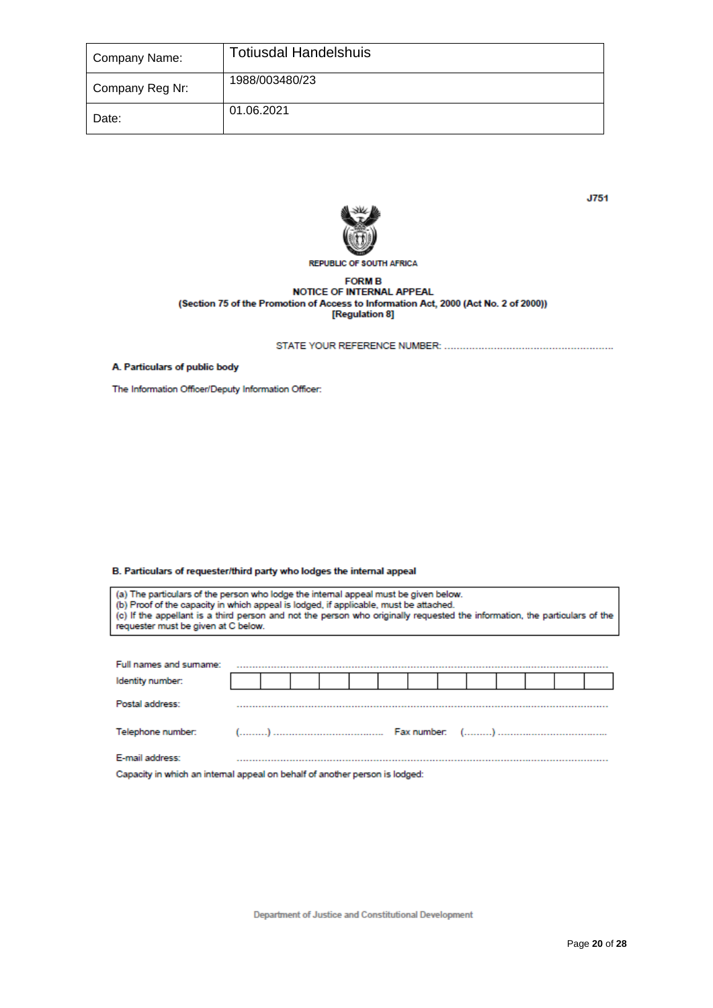| Company Name:   | <b>Totiusdal Handelshuis</b> |
|-----------------|------------------------------|
| Company Reg Nr: | 1988/003480/23               |
| Date:           | 01.06.2021                   |



**J751** 

# **REPUBLIC OF SOUTH AFRICA**

# **FORM B** NOTICE OF INTERNAL APPEAL (Section 75 of the Promotion of Access to Information Act, 2000 (Act No. 2 of 2000))<br>[Regulation 8]

A. Particulars of public body

The Information Officer/Deputy Information Officer:

B. Particulars of requester/third party who lodges the internal appeal

(a) The particulars of the person who lodge the internal appeal must be given below.<br>(b) Proof of the capacity in which appeal is lodged, if applicable, must be attached.<br>(c) If the appellant is a third person and not the

| Full names and sumame:                                                      |  |  |  |  |  |  |  |
|-----------------------------------------------------------------------------|--|--|--|--|--|--|--|
| Identity number:                                                            |  |  |  |  |  |  |  |
| Postal address:                                                             |  |  |  |  |  |  |  |
|                                                                             |  |  |  |  |  |  |  |
| E-mail address:                                                             |  |  |  |  |  |  |  |
| Conneity in which an internal annual on behalf of another necess is ledged: |  |  |  |  |  |  |  |

apacity in which an internal appeal on behalf of another person is lodged: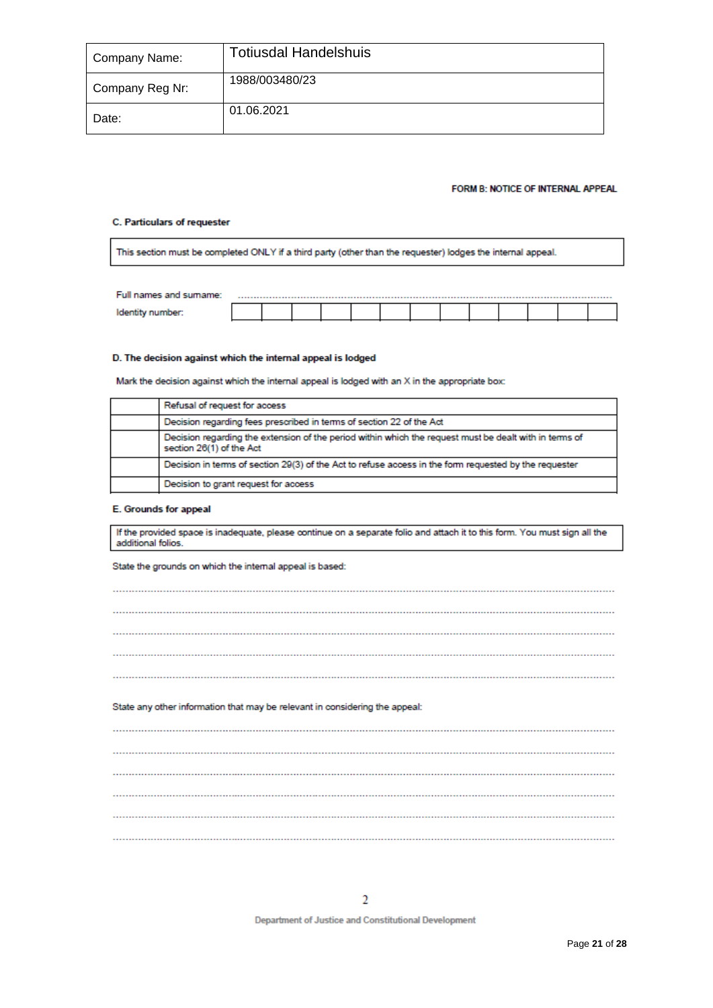| Company Name:   | <b>Totiusdal Handelshuis</b> |
|-----------------|------------------------------|
| Company Reg Nr: | 1988/003480/23               |
| Date:           | 01.06.2021                   |

### FORM B: NOTICE OF INTERNAL APPEAL

### C. Particulars of requester

This section must be completed ONLY if a third party (other than the requester) lodges the internal appeal.

| Full names and sumame: |  |  |  |  |  |  |  |
|------------------------|--|--|--|--|--|--|--|
|                        |  |  |  |  |  |  |  |

### D. The decision against which the internal appeal is lodged

Mark the decision against which the internal appeal is lodged with an X in the appropriate box:

| Refusal of request for access                                                                                                      |
|------------------------------------------------------------------------------------------------------------------------------------|
| Decision regarding fees prescribed in terms of section 22 of the Act                                                               |
| Decision regarding the extension of the period within which the request must be dealt with in terms of<br>section 26(1) of the Act |
| Decision in terms of section 29(3) of the Act to refuse access in the form requested by the requester                              |
| Decision to grant request for access                                                                                               |

### E. Grounds for appeal

If the provided space is inadequate, please continue on a separate folio and attach it to this form. You must sign all the additional folios.

State the grounds on which the internal appeal is based:

| State any other information that may be relevant in considering the appeal: |  |
|-----------------------------------------------------------------------------|--|
|                                                                             |  |
|                                                                             |  |
|                                                                             |  |
|                                                                             |  |
|                                                                             |  |
|                                                                             |  |

**Department of Justice and Constitutional Development**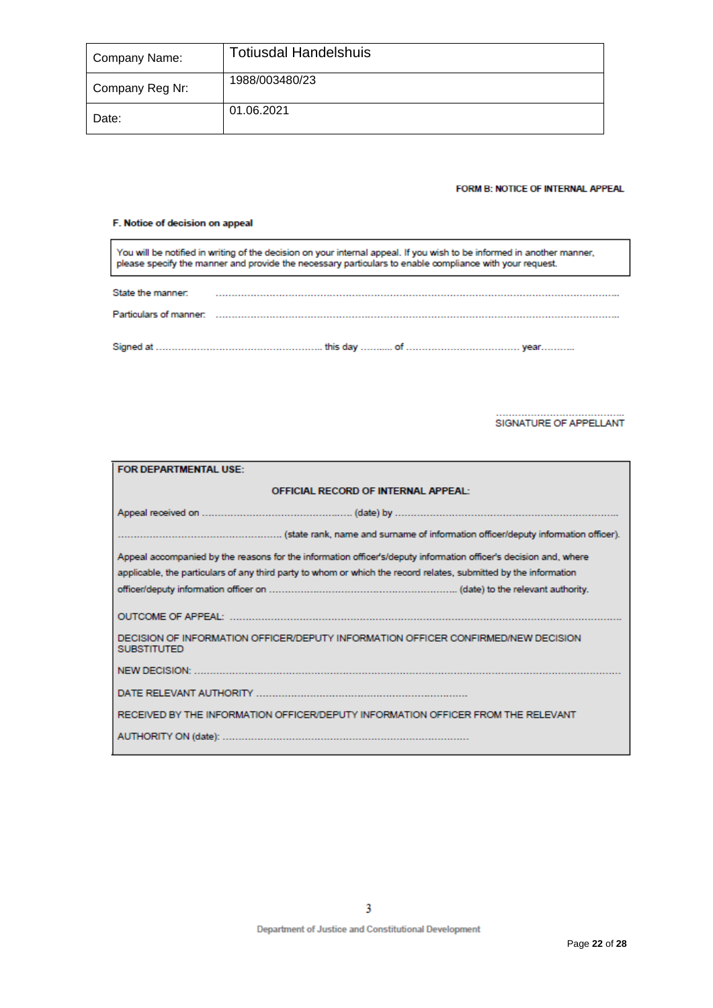| Company Name:   | <b>Totiusdal Handelshuis</b> |
|-----------------|------------------------------|
| Company Reg Nr: | 1988/003480/23               |
| Date:           | 01.06.2021                   |

### FORM B: NOTICE OF INTERNAL APPEAL

### F. Notice of decision on appeal

You will be notified in writing of the decision on your internal appeal. If you wish to be informed in another manner,<br>please specify the manner and provide the necessary particulars to enable compliance with your request.

| State the manner: |  |
|-------------------|--|
|                   |  |
|                   |  |

### SIGNATURE OF APPELLANT

| FOR DEPARTMENTAL USE:     |                                                                                                                  |
|---------------------------|------------------------------------------------------------------------------------------------------------------|
|                           | <b>OFFICIAL RECORD OF INTERNAL APPEAL:</b>                                                                       |
|                           |                                                                                                                  |
|                           |                                                                                                                  |
|                           | Appeal accompanied by the reasons for the information officer's/deputy information officer's decision and, where |
|                           | applicable, the particulars of any third party to whom or which the record relates, submitted by the information |
|                           |                                                                                                                  |
| <b>OUTCOME OF APPEAL:</b> |                                                                                                                  |
| <b>SUBSTITUTED</b>        | DECISION OF INFORMATION OFFICER/DEPUTY INFORMATION OFFICER CONFIRMED/NEW DECISION                                |
|                           |                                                                                                                  |
|                           |                                                                                                                  |
|                           | RECEIVED BY THE INFORMATION OFFICER/DEPUTY INFORMATION OFFICER FROM THE RELEVANT                                 |
|                           |                                                                                                                  |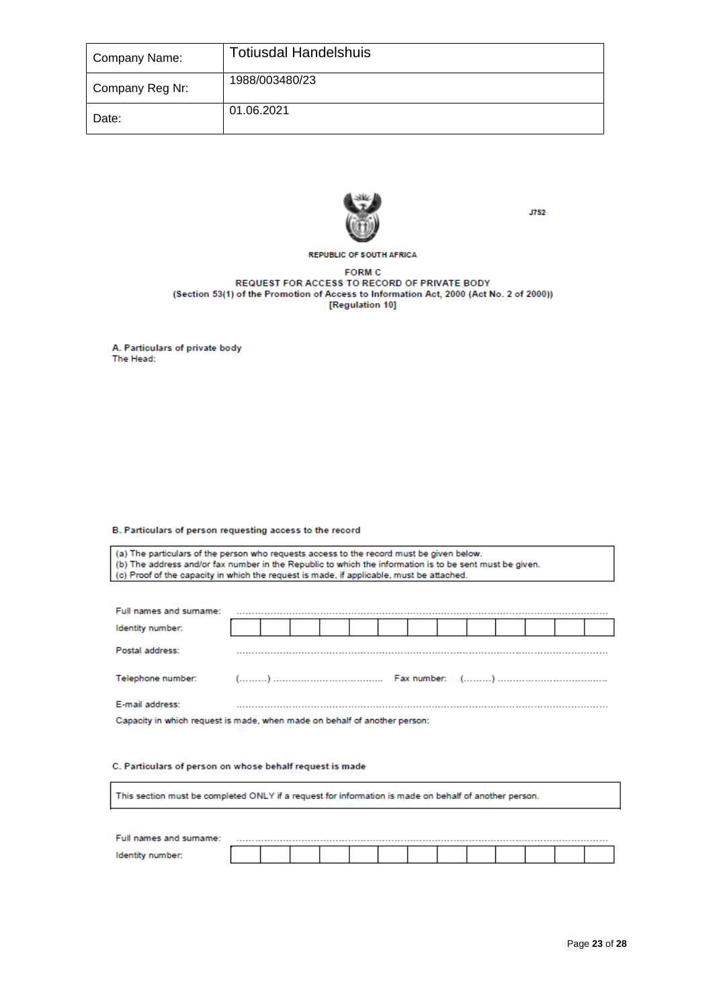| Company Name:   | <b>Totiusdal Handelshuis</b> |
|-----------------|------------------------------|
| Company Reg Nr: | 1988/003480/23               |
| Date:           | 01.06.2021                   |



**J752** 

### **REPUBLIC OF SOUTH AFRICA**

**FORM C** REQUEST FOR ACCESS TO RECORD OF PRIVATE BODY (Section 53(1) of the Promotion of Access to Information Act, 2000 (Act No. 2 of 2000)) [Regulation 10]

A. Particulars of private body The Head:

### B. Particulars of person requesting access to the record

(a) The particulars of the person who requests access to the record must be given below. (b) The address and/or fax number in the Republic to which the information is to be sent must be given. (c) Proof of the capacity in which the request is made, if applicable, must be attached.

| Full names and surname:                                                   |  |  |  |  |  |  |  |  |  |
|---------------------------------------------------------------------------|--|--|--|--|--|--|--|--|--|
| Identity number:                                                          |  |  |  |  |  |  |  |  |  |
| Postal address:                                                           |  |  |  |  |  |  |  |  |  |
|                                                                           |  |  |  |  |  |  |  |  |  |
| E-mail address:                                                           |  |  |  |  |  |  |  |  |  |
| Capacity in which request is made, when made on behalf of another person: |  |  |  |  |  |  |  |  |  |

# C. Particulars of person on whose behalf request is made

This section must be completed ONLY if a request for information is made on behalf of another person.

| Full names and surname: |  |  |  |  |  |  |  |
|-------------------------|--|--|--|--|--|--|--|
|                         |  |  |  |  |  |  |  |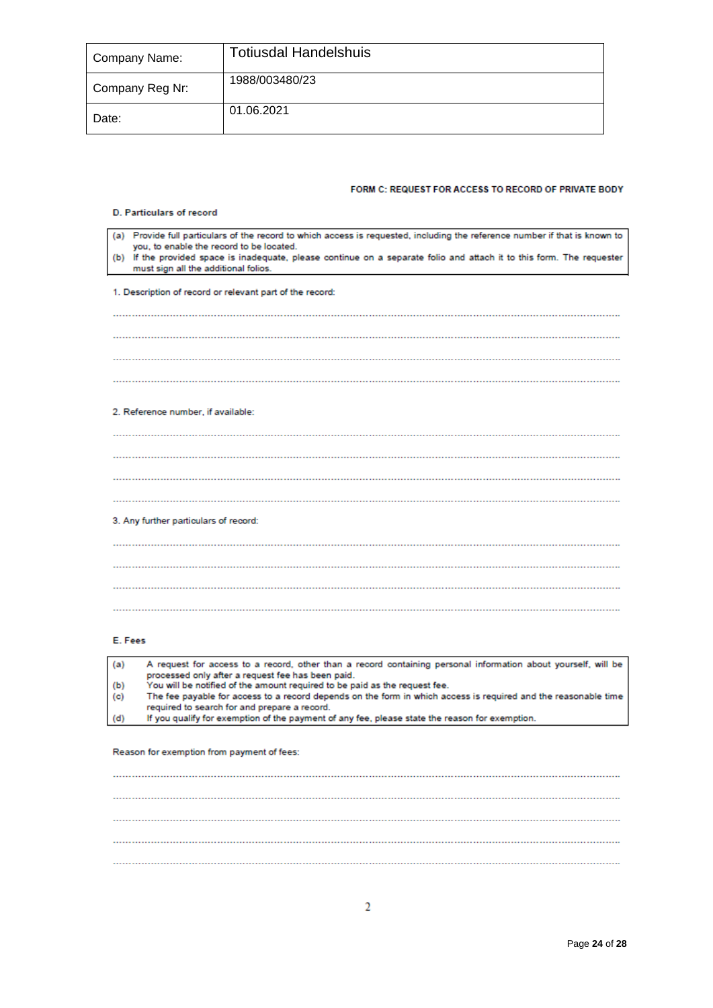| Company Name:   | <b>Totiusdal Handelshuis</b> |
|-----------------|------------------------------|
| Company Reg Nr: | 1988/003480/23               |
| Date:           | 01.06.2021                   |

### FORM C: REQUEST FOR ACCESS TO RECORD OF PRIVATE BODY

### D. Particulars of record

| (a) Provide full particulars of the record to which access is requested, including the reference number if that is known to<br>you, to enable the record to be located.<br>(b) If the provided space is inadequate, please continue on a separate folio and attach it to this form. The requester<br>must sign all the additional folios. |
|-------------------------------------------------------------------------------------------------------------------------------------------------------------------------------------------------------------------------------------------------------------------------------------------------------------------------------------------|
|                                                                                                                                                                                                                                                                                                                                           |
| 1. Description of record or relevant part of the record:                                                                                                                                                                                                                                                                                  |
|                                                                                                                                                                                                                                                                                                                                           |
|                                                                                                                                                                                                                                                                                                                                           |
|                                                                                                                                                                                                                                                                                                                                           |
|                                                                                                                                                                                                                                                                                                                                           |
|                                                                                                                                                                                                                                                                                                                                           |
|                                                                                                                                                                                                                                                                                                                                           |
|                                                                                                                                                                                                                                                                                                                                           |
|                                                                                                                                                                                                                                                                                                                                           |
|                                                                                                                                                                                                                                                                                                                                           |
|                                                                                                                                                                                                                                                                                                                                           |
| 2. Reference number, if available:                                                                                                                                                                                                                                                                                                        |
|                                                                                                                                                                                                                                                                                                                                           |
|                                                                                                                                                                                                                                                                                                                                           |
|                                                                                                                                                                                                                                                                                                                                           |
|                                                                                                                                                                                                                                                                                                                                           |
|                                                                                                                                                                                                                                                                                                                                           |
|                                                                                                                                                                                                                                                                                                                                           |
|                                                                                                                                                                                                                                                                                                                                           |
|                                                                                                                                                                                                                                                                                                                                           |
|                                                                                                                                                                                                                                                                                                                                           |
| 3. Any further particulars of record:                                                                                                                                                                                                                                                                                                     |
|                                                                                                                                                                                                                                                                                                                                           |
|                                                                                                                                                                                                                                                                                                                                           |
|                                                                                                                                                                                                                                                                                                                                           |
|                                                                                                                                                                                                                                                                                                                                           |
|                                                                                                                                                                                                                                                                                                                                           |
|                                                                                                                                                                                                                                                                                                                                           |
|                                                                                                                                                                                                                                                                                                                                           |
|                                                                                                                                                                                                                                                                                                                                           |
|                                                                                                                                                                                                                                                                                                                                           |
|                                                                                                                                                                                                                                                                                                                                           |

### E. Fees

| (a) | A request for access to a record, other than a record containing personal information about yourself, will be  |
|-----|----------------------------------------------------------------------------------------------------------------|
|     | processed only after a request fee has been paid.                                                              |
| (b) | You will be notified of the amount required to be paid as the request fee.                                     |
| (c) | The fee payable for access to a record depends on the form in which access is required and the reasonable time |
|     | required to search for and prepare a record.                                                                   |
| (d) | If you qualify for exemption of the payment of any fee, please state the reason for exemption.                 |

### Reason for exemption from payment of fees: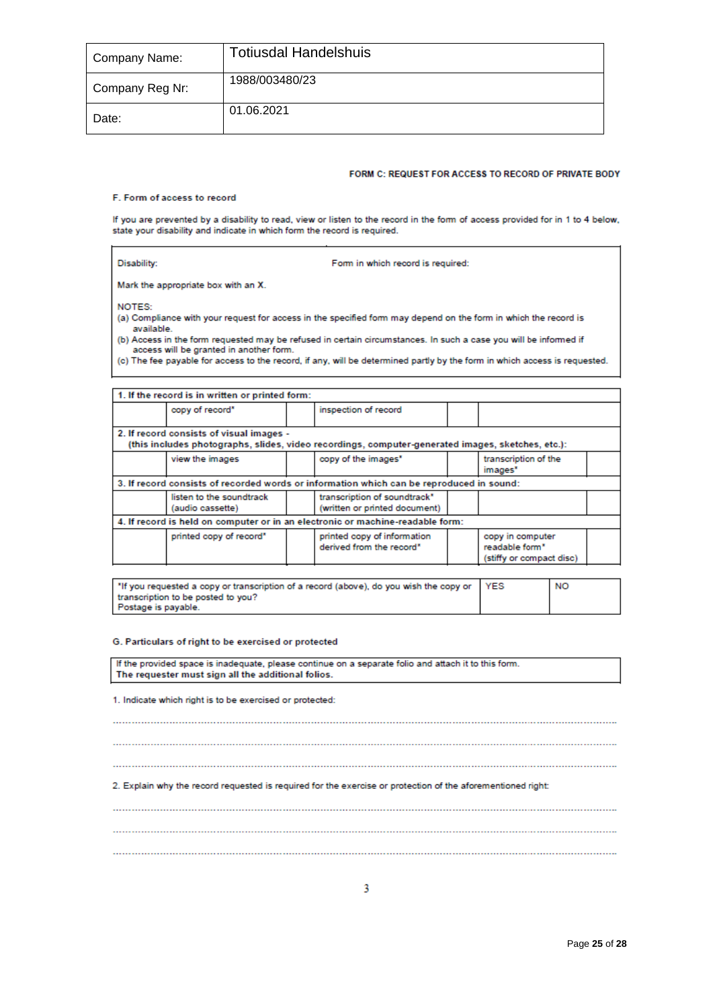| Company Name:   | <b>Totiusdal Handelshuis</b> |
|-----------------|------------------------------|
| Company Reg Nr: | 1988/003480/23               |
| Date:           | 01.06.2021                   |

### FORM C: REQUEST FOR ACCESS TO RECORD OF PRIVATE BODY

 $\overline{\phantom{0}}$ 

### F. Form of access to record

ł

If you are prevented by a disability to read, view or listen to the record in the form of access provided for in 1 to 4 below,<br>state your disability and indicate in which form the record is required.

| Disability:                                                                                                                                                                                                                                                                                                                                                                                                                        | Form in which record is required: |  |  |  |  |  |  |  |  |
|------------------------------------------------------------------------------------------------------------------------------------------------------------------------------------------------------------------------------------------------------------------------------------------------------------------------------------------------------------------------------------------------------------------------------------|-----------------------------------|--|--|--|--|--|--|--|--|
| Mark the appropriate box with an X.                                                                                                                                                                                                                                                                                                                                                                                                |                                   |  |  |  |  |  |  |  |  |
| NOTES:<br>(a) Compliance with your request for access in the specified form may depend on the form in which the record is<br>available<br>(b) Access in the form requested may be refused in certain circumstances. In such a case you will be informed if<br>access will be granted in another form.<br>(c) The fee payable for access to the record, if any, will be determined partly by the form in which access is requested. |                                   |  |  |  |  |  |  |  |  |
| 1. If the record is in written or printed form:                                                                                                                                                                                                                                                                                                                                                                                    |                                   |  |  |  |  |  |  |  |  |
| copy of record*                                                                                                                                                                                                                                                                                                                                                                                                                    | inspection of record              |  |  |  |  |  |  |  |  |

| 2. If record consists of visual images -<br>(this includes photographs, slides, video recordings, computer-generated images, sketches, etc.): |  |                                                                                |  |                                                                            |  |  |  |  |
|-----------------------------------------------------------------------------------------------------------------------------------------------|--|--------------------------------------------------------------------------------|--|----------------------------------------------------------------------------|--|--|--|--|
| view the images                                                                                                                               |  | copy of the images"                                                            |  | transcription of the<br>images"                                            |  |  |  |  |
| 3. If record consists of recorded words or information which can be reproduced in sound:                                                      |  |                                                                                |  |                                                                            |  |  |  |  |
| listen to the soundtrack<br>(audio cassette)                                                                                                  |  | transcription of soundtrack*<br>(written or printed document)                  |  |                                                                            |  |  |  |  |
|                                                                                                                                               |  | 4. If record is held on computer or in an electronic or machine-readable form: |  |                                                                            |  |  |  |  |
| printed copy of record*                                                                                                                       |  | printed copy of information<br>derived from the record*                        |  | copy in computer<br>readable form <sup>*</sup><br>(stiffy or compact disc) |  |  |  |  |

| "If you requested a copy or transcription of a record (above), do you wish the copy or YES | NO |
|--------------------------------------------------------------------------------------------|----|
| transcription to be posted to you?                                                         |    |
| Postage is payable.                                                                        |    |

### G. Particulars of right to be exercised or protected

| If the provided space is inadequate, please continue on a separate folio and attach it to this form.<br>The requester must sign all the additional folios. |  |  |  |  |
|------------------------------------------------------------------------------------------------------------------------------------------------------------|--|--|--|--|
| 1. Indicate which right is to be exercised or protected:                                                                                                   |  |  |  |  |
|                                                                                                                                                            |  |  |  |  |
|                                                                                                                                                            |  |  |  |  |
|                                                                                                                                                            |  |  |  |  |
| 2. Explain why the record requested is required for the exercise or protection of the aforementioned right:                                                |  |  |  |  |
|                                                                                                                                                            |  |  |  |  |
|                                                                                                                                                            |  |  |  |  |
|                                                                                                                                                            |  |  |  |  |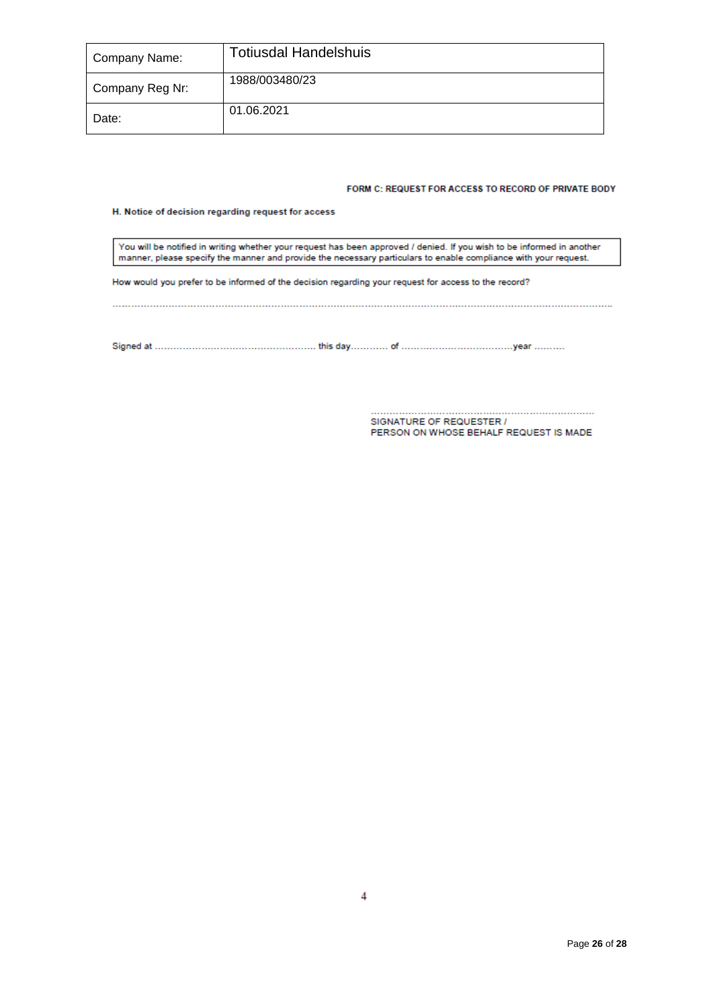| Company Name:   | <b>Totiusdal Handelshuis</b> |
|-----------------|------------------------------|
| Company Reg Nr: | 1988/003480/23               |
| Date:           | 01.06.2021                   |

### FORM C: REQUEST FOR ACCESS TO RECORD OF PRIVATE BODY

### H. Notice of decision regarding request for access

You will be notified in writing whether your request has been approved / denied. If you wish to be informed in another<br>manner, please specify the manner and provide the necessary particulars to enable compliance with your

How would you prefer to be informed of the decision regarding your request for access to the record?

SIGNATURE OF REQUESTER / PERSON ON WHOSE BEHALF REQUEST IS MADE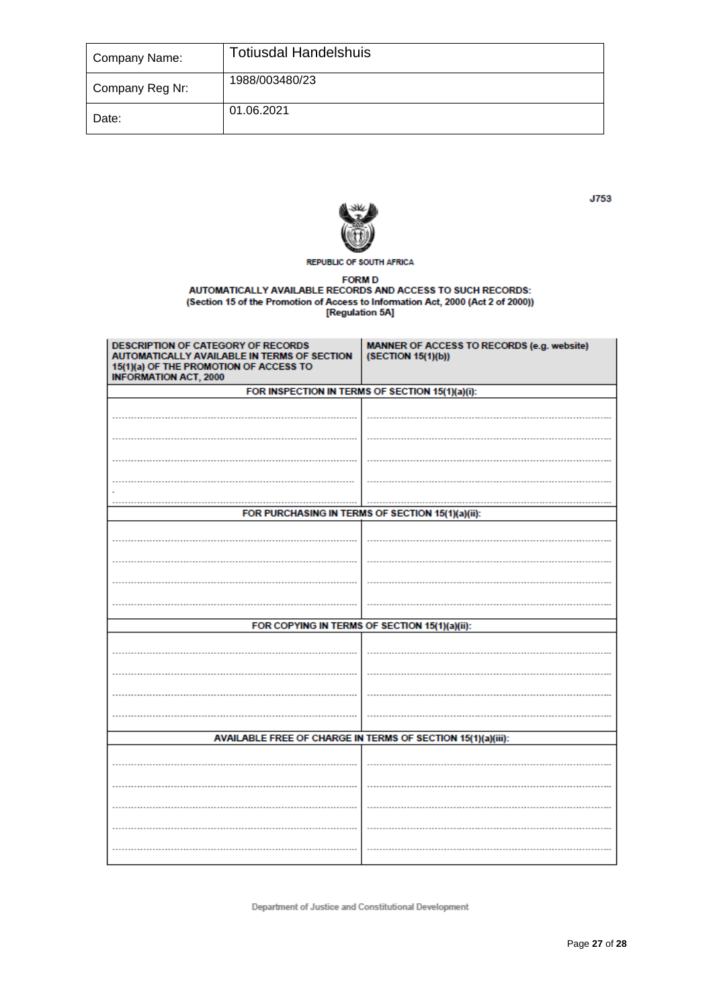| Company Name:   | <b>Totiusdal Handelshuis</b> |
|-----------------|------------------------------|
| Company Reg Nr: | 1988/003480/23               |
| Date:           | 01.06.2021                   |



**REPUBLIC OF SOUTH AFRICA** 

FORM D<br>AUTOMATICALLY AVAILABLE RECORDS AND ACCESS TO SUCH RECORDS:<br>(Section 15 of the Promotion of Access to Information Act, 2000 (Act 2 of 2000))<br>[Regulation 5A]

| DESCRIPTION OF CATEGORY OF RECORDS<br>AUTOMATICALLY AVAILABLE IN TERMS OF SECTION<br>15(1)(a) OF THE PROMOTION OF ACCESS TO<br><b>INFORMATION ACT, 2000</b> | MANNER OF ACCESS TO RECORDS (e.g. website)<br>(SECTION 15(1)(b)) |  |  |  |
|-------------------------------------------------------------------------------------------------------------------------------------------------------------|------------------------------------------------------------------|--|--|--|
|                                                                                                                                                             | FOR INSPECTION IN TERMS OF SECTION 15(1)(a)(i):                  |  |  |  |
|                                                                                                                                                             |                                                                  |  |  |  |
|                                                                                                                                                             |                                                                  |  |  |  |
|                                                                                                                                                             |                                                                  |  |  |  |
|                                                                                                                                                             |                                                                  |  |  |  |
|                                                                                                                                                             |                                                                  |  |  |  |
|                                                                                                                                                             | FOR PURCHASING IN TERMS OF SECTION 15(1)(a)(ii):                 |  |  |  |
|                                                                                                                                                             |                                                                  |  |  |  |
|                                                                                                                                                             |                                                                  |  |  |  |
|                                                                                                                                                             |                                                                  |  |  |  |
|                                                                                                                                                             |                                                                  |  |  |  |
|                                                                                                                                                             |                                                                  |  |  |  |
|                                                                                                                                                             | FOR COPYING IN TERMS OF SECTION 15(1)(a)(ii):                    |  |  |  |
|                                                                                                                                                             |                                                                  |  |  |  |
|                                                                                                                                                             |                                                                  |  |  |  |
|                                                                                                                                                             |                                                                  |  |  |  |
|                                                                                                                                                             |                                                                  |  |  |  |
|                                                                                                                                                             |                                                                  |  |  |  |
| AVAILABLE FREE OF CHARGE IN TERMS OF SECTION 15(1)(a)(iii):                                                                                                 |                                                                  |  |  |  |
|                                                                                                                                                             |                                                                  |  |  |  |
|                                                                                                                                                             |                                                                  |  |  |  |
|                                                                                                                                                             |                                                                  |  |  |  |
|                                                                                                                                                             |                                                                  |  |  |  |
|                                                                                                                                                             |                                                                  |  |  |  |
|                                                                                                                                                             |                                                                  |  |  |  |

**Department of Justice and Constitutional Development** 

J753